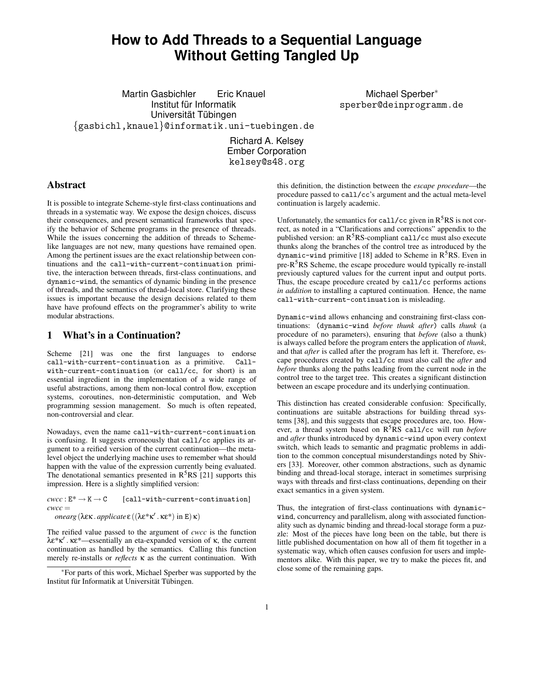# **How to Add Threads to a Sequential Language Without Getting Tangled Up**

Martin Gasbichler Eric Knauel Institut für Informatik Universität Tübingen {gasbichl,knauel}@informatik.uni-tuebingen.de

Michael Sperber<sup>∗</sup> sperber@deinprogramm.de

Richard A. Kelsey Ember Corporation kelsey@s48.org

### **Abstract**

It is possible to integrate Scheme-style first-class continuations and threads in a systematic way. We expose the design choices, discuss their consequences, and present semantical frameworks that specify the behavior of Scheme programs in the presence of threads. While the issues concerning the addition of threads to Schemelike languages are not new, many questions have remained open. Among the pertinent issues are the exact relationship between continuations and the call-with-current-continuation primitive, the interaction between threads, first-class continuations, and dynamic-wind, the semantics of dynamic binding in the presence of threads, and the semantics of thread-local store. Clarifying these issues is important because the design decisions related to them have have profound effects on the programmer's ability to write modular abstractions.

# **1 What's in a Continuation?**

Scheme [21] was one the first languages to endorse call-with-current-continuation as a primitive. Callwith-current-continuation (or call/cc, for short) is an essential ingredient in the implementation of a wide range of useful abstractions, among them non-local control flow, exception systems, coroutines, non-deterministic computation, and Web programming session management. So much is often repeated, non-controversial and clear.

Nowadays, even the name call-with-current-continuation is confusing. It suggests erroneously that call/cc applies its argument to a reified version of the current continuation—the metalevel object the underlying machine uses to remember what should happen with the value of the expression currently being evaluated. The denotational semantics presented in  $R<sup>5</sup>RS$  [21] supports this impression. Here is a slightly simplified version:

 $cwcc : E^* \to K \to C$  [call-with-current-continuation]  $cwcc =$ 

*onearg*(λεκ . *applicate* ε ((λε\*κ 0 . κε\*) in E) κ)

The reified value passed to the argument of *cwcc* is the function λε\*κ 0 . κε\*—essentially an eta-expanded version of κ, the current continuation as handled by the semantics. Calling this function merely re-installs or *reflects* κ as the current continuation. With

this definition, the distinction between the *escape procedure*—the procedure passed to call/cc's argument and the actual meta-level continuation is largely academic.

Unfortunately, the semantics for call/cc given in  $R<sup>5</sup>RS$  is not correct, as noted in a "Clarifications and corrections" appendix to the published version: an R<sup>5</sup>RS-compliant call/cc must also execute thunks along the branches of the control tree as introduced by the dynamic-wind primitive [18] added to Scheme in R<sup>5</sup>RS. Even in pre- $R<sup>5</sup>RS$  Scheme, the escape procedure would typically re-install previously captured values for the current input and output ports. Thus, the escape procedure created by call/cc performs actions *in addition* to installing a captured continuation. Hence, the name call-with-current-continuation is misleading.

Dynamic-wind allows enhancing and constraining first-class continuations: (dynamic-wind *before thunk after*) calls *thunk* (a procedure of no parameters), ensuring that *before* (also a thunk) is always called before the program enters the application of *thunk*, and that *after* is called after the program has left it. Therefore, escape procedures created by call/cc must also call the *after* and *before* thunks along the paths leading from the current node in the control tree to the target tree. This creates a significant distinction between an escape procedure and its underlying continuation.

This distinction has created considerable confusion: Specifically, continuations are suitable abstractions for building thread systems [38], and this suggests that escape procedures are, too. However, a thread system based on R <sup>5</sup>RS call/cc will run *before* and *after* thunks introduced by dynamic-wind upon every context switch, which leads to semantic and pragmatic problems in addition to the common conceptual misunderstandings noted by Shivers [33]. Moreover, other common abstractions, such as dynamic binding and thread-local storage, interact in sometimes surprising ways with threads and first-class continuations, depending on their exact semantics in a given system.

Thus, the integration of first-class continuations with dynamicwind, concurrency and parallelism, along with associated functionality such as dynamic binding and thread-local storage form a puzzle: Most of the pieces have long been on the table, but there is little published documentation on how all of them fit together in a systematic way, which often causes confusion for users and implementors alike. With this paper, we try to make the pieces fit, and close some of the remaining gaps.

<sup>∗</sup>For parts of this work, Michael Sperber was supported by the Institut für Informatik at Universität Tübingen.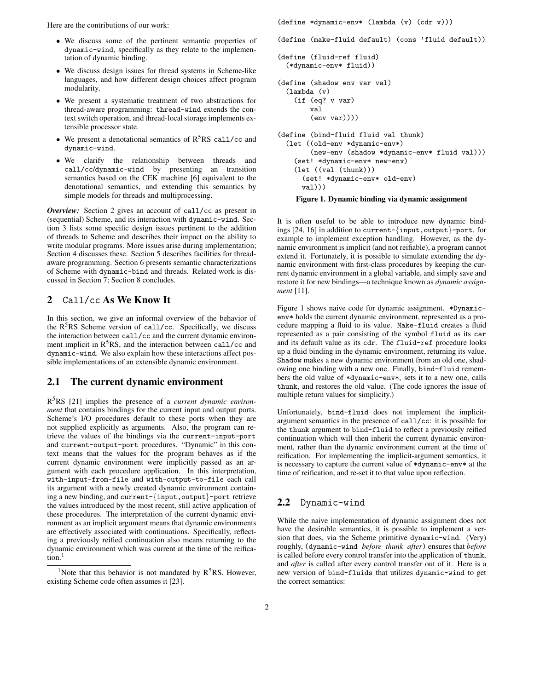Here are the contributions of our work:

- We discuss some of the pertinent semantic properties of dynamic-wind, specifically as they relate to the implementation of dynamic binding.
- We discuss design issues for thread systems in Scheme-like languages, and how different design choices affect program modularity.
- We present a systematic treatment of two abstractions for thread-aware programming: thread-wind extends the context switch operation, and thread-local storage implements extensible processor state.
- We present a denotational semantics of  $R^5RS$  call/cc and dynamic-wind.
- We clarify the relationship between threads and call/cc/dynamic-wind by presenting an transition semantics based on the CEK machine [6] equivalent to the denotational semantics, and extending this semantics by simple models for threads and multiprocessing.

*Overview:* Section 2 gives an account of call/cc as present in (sequential) Scheme, and its interaction with dynamic-wind. Section 3 lists some specific design issues pertinent to the addition of threads to Scheme and describes their impact on the ability to write modular programs. More issues arise during implementation; Section 4 discusses these. Section 5 describes facilities for threadaware programming. Section 6 presents semantic characterizations of Scheme with dynamic-bind and threads. Related work is discussed in Section 7; Section 8 concludes.

# **2** Call/cc **As We Know It**

In this section, we give an informal overview of the behavior of the R<sup>5</sup>RS Scheme version of call/cc. Specifically, we discuss the interaction between call/cc and the current dynamic environment implicit in  $R^5RS$ , and the interaction between call/cc and dynamic-wind. We also explain how these interactions affect possible implementations of an extensible dynamic environment.

### **2.1 The current dynamic environment**

R <sup>5</sup>RS [21] implies the presence of a *current dynamic environment* that contains bindings for the current input and output ports. Scheme's I/O procedures default to these ports when they are not supplied explicitly as arguments. Also, the program can retrieve the values of the bindings via the current-input-port and current-output-port procedures. "Dynamic" in this context means that the values for the program behaves as if the current dynamic environment were implicitly passed as an argument with each procedure application. In this interpretation, with-input-from-file and with-output-to-file each call its argument with a newly created dynamic environment containing a new binding, and current-{input,output}-port retrieve the values introduced by the most recent, still active application of these procedures. The interpretation of the current dynamic environment as an implicit argument means that dynamic environments are effectively associated with continuations. Specifically, reflecting a previously reified continuation also means returning to the dynamic environment which was current at the time of the reification.<sup>1</sup>

(define \*dynamic-env\* (lambda (v) (cdr v)))

(define (make-fluid default) (cons 'fluid default))

```
(define (fluid-ref fluid)
  (*dynamic-env* fluid))
(define (shadow env var val)
  (lambda (v)
    (if (eq? v var)
        val
        (env var))))
(define (bind-fluid fluid val thunk)
  (let ((old-env *dynamic-env*)
        (new-env (shadow *dynamic-env* fluid val)))
    (set! *dynamic-env* new-env)
    (let ((val (thunk)))
      (set! *dynamic-env* old-env)
      val)))
```
#### **Figure 1. Dynamic binding via dynamic assignment**

It is often useful to be able to introduce new dynamic bindings [24, 16] in addition to current-{input,output}-port, for example to implement exception handling. However, as the dynamic environment is implicit (and not reifiable), a program cannot extend it. Fortunately, it is possible to simulate extending the dynamic environment with first-class procedures by keeping the current dynamic environment in a global variable, and simply save and restore it for new bindings—a technique known as *dynamic assignment* [11].

Figure 1 shows naive code for dynamic assignment. \*Dynamicenv\* holds the current dynamic environment, represented as a procedure mapping a fluid to its value. Make-fluid creates a fluid represented as a pair consisting of the symbol fluid as its car and its default value as its cdr. The fluid-ref procedure looks up a fluid binding in the dynamic environment, returning its value. Shadow makes a new dynamic environment from an old one, shadowing one binding with a new one. Finally, bind-fluid remembers the old value of \*dynamic-env\*, sets it to a new one, calls thunk, and restores the old value. (The code ignores the issue of multiple return values for simplicity.)

Unfortunately, bind-fluid does not implement the implicitargument semantics in the presence of call/cc: it is possible for the thunk argument to bind-fluid to reflect a previously reified continuation which will then inherit the current dynamic environment, rather than the dynamic environment current at the time of reification. For implementing the implicit-argument semantics, it is necessary to capture the current value of \*dynamic-env\* at the time of reification, and re-set it to that value upon reflection.

### **2.2** Dynamic-wind

While the naive implementation of dynamic assignment does not have the desirable semantics, it is possible to implement a version that does, via the Scheme primitive dynamic-wind. (Very) roughly, (dynamic-wind *before thunk after*) ensures that *before* is called before every control transfer into the application of thunk, and *after* is called after every control transfer out of it. Here is a new version of bind-fluids that utilizes dynamic-wind to get the correct semantics:

<sup>&</sup>lt;sup>1</sup>Note that this behavior is not mandated by  $R<sup>5</sup>RS$ . However, existing Scheme code often assumes it [23].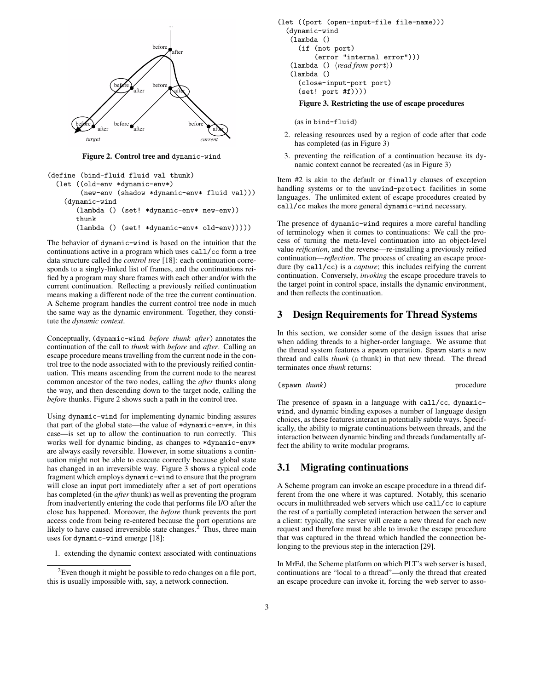

**Figure 2. Control tree and** dynamic-wind

```
(define (bind-fluid fluid val thunk)
 (let ((old-env *dynamic-env*)
        (new-env (shadow *dynamic-env* fluid val)))
    (dynamic-wind
       (lambda () (set! *dynamic-env* new-env))
      thunk
       (lambda () (set! *dynamic-env* old-env)))))
```
The behavior of dynamic-wind is based on the intuition that the continuations active in a program which uses call/cc form a tree data structure called the *control tree* [18]: each continuation corresponds to a singly-linked list of frames, and the continuations reified by a program may share frames with each other and/or with the current continuation. Reflecting a previously reified continuation means making a different node of the tree the current continuation. A Scheme program handles the current control tree node in much the same way as the dynamic environment. Together, they constitute the *dynamic context*.

Conceptually, (dynamic-wind *before thunk after*) annotates the continuation of the call to *thunk* with *before* and *after*. Calling an escape procedure means travelling from the current node in the control tree to the node associated with to the previously reified continuation. This means ascending from the current node to the nearest common ancestor of the two nodes, calling the *after* thunks along the way, and then descending down to the target node, calling the *before* thunks. Figure 2 shows such a path in the control tree.

Using dynamic-wind for implementing dynamic binding assures that part of the global state—the value of \*dynamic-env\*, in this case—is set up to allow the continuation to run correctly. This works well for dynamic binding, as changes to \*dynamic-env\* are always easily reversible. However, in some situations a continuation might not be able to execute correctly because global state has changed in an irreversible way. Figure 3 shows a typical code fragment which employs dynamic-wind to ensure that the program will close an input port immediately after a set of port operations has completed (in the *after* thunk) as well as preventing the program from inadvertently entering the code that performs file I/O after the close has happened. Moreover, the *before* thunk prevents the port access code from being re-entered because the port operations are likely to have caused irreversible state changes. $<sup>2</sup>$  Thus, three main</sup> uses for dynamic-wind emerge [18]:

1. extending the dynamic context associated with continuations

```
(let ((port (open-input-file file-name)))
  (dynamic-wind
   (lambda ()
     (if (not port)
          (error "internal error")))
   (lambda () \langle read from port \rangle)
   (lambda ()
     (close-input-port port)
     (set! port #f))))
      Figure 3. Restricting the use of escape procedures
```
(as in bind-fluid)

- 2. releasing resources used by a region of code after that code has completed (as in Figure 3)
- 3. preventing the reification of a continuation because its dynamic context cannot be recreated (as in Figure 3)

Item #2 is akin to the default or finally clauses of exception handling systems or to the unwind-protect facilities in some languages. The unlimited extent of escape procedures created by call/cc makes the more general dynamic-wind necessary.

The presence of dynamic-wind requires a more careful handling of terminology when it comes to continuations: We call the process of turning the meta-level continuation into an object-level value *reification*, and the reverse—re-installing a previously reified continuation—*reflection*. The process of creating an escape procedure (by call/cc) is a *capture*; this includes reifying the current continuation. Conversely, *invoking* the escape procedure travels to the target point in control space, installs the dynamic environment, and then reflects the continuation.

### **3 Design Requirements for Thread Systems**

In this section, we consider some of the design issues that arise when adding threads to a higher-order language. We assume that the thread system features a spawn operation. Spawn starts a new thread and calls *thunk* (a thunk) in that new thread. The thread terminates once *thunk* returns:

(spawn *thunk*) procedure

The presence of spawn in a language with call/cc, dynamicwind, and dynamic binding exposes a number of language design choices, as these features interact in potentially subtle ways. Specifically, the ability to migrate continuations between threads, and the interaction between dynamic binding and threads fundamentally affect the ability to write modular programs.

### **3.1 Migrating continuations**

A Scheme program can invoke an escape procedure in a thread different from the one where it was captured. Notably, this scenario occurs in multithreaded web servers which use call/cc to capture the rest of a partially completed interaction between the server and a client: typically, the server will create a new thread for each new request and therefore must be able to invoke the escape procedure that was captured in the thread which handled the connection belonging to the previous step in the interaction [29].

In MrEd, the Scheme platform on which PLT's web server is based, continuations are "local to a thread"—only the thread that created an escape procedure can invoke it, forcing the web server to asso-

<sup>&</sup>lt;sup>2</sup>Even though it might be possible to redo changes on a file port, this is usually impossible with, say, a network connection.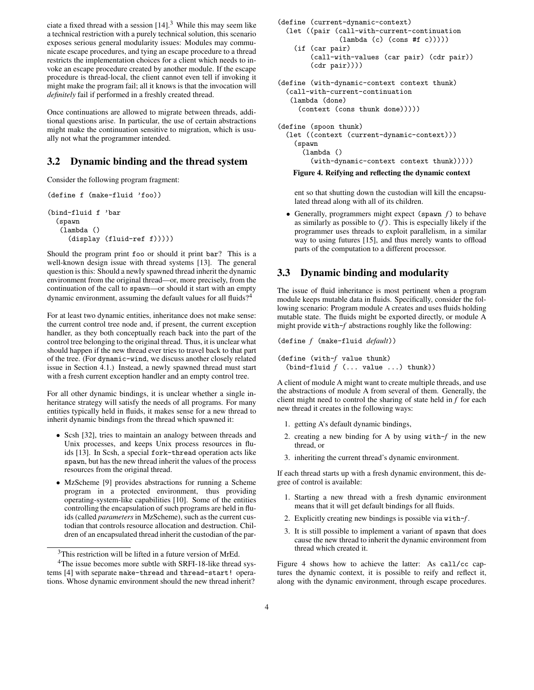ciate a fixed thread with a session  $[14]$ .<sup>3</sup> While this may seem like a technical restriction with a purely technical solution, this scenario exposes serious general modularity issues: Modules may communicate escape procedures, and tying an escape procedure to a thread restricts the implementation choices for a client which needs to invoke an escape procedure created by another module. If the escape procedure is thread-local, the client cannot even tell if invoking it might make the program fail; all it knows is that the invocation will *definitely* fail if performed in a freshly created thread.

Once continuations are allowed to migrate between threads, additional questions arise. In particular, the use of certain abstractions might make the continuation sensitive to migration, which is usually not what the programmer intended.

# **3.2 Dynamic binding and the thread system**

Consider the following program fragment:

```
(define f (make-fluid 'foo))
(bind-fluid f 'bar
 (spawn
   (lambda ()
     (display (fluid-ref f)))))
```
Should the program print foo or should it print bar? This is a well-known design issue with thread systems [13]. The general question is this: Should a newly spawned thread inherit the dynamic environment from the original thread—or, more precisely, from the continuation of the call to spawn—or should it start with an empty dynamic environment, assuming the default values for all fluids?<sup>4</sup>

For at least two dynamic entities, inheritance does not make sense: the current control tree node and, if present, the current exception handler, as they both conceptually reach back into the part of the control tree belonging to the original thread. Thus, it is unclear what should happen if the new thread ever tries to travel back to that part of the tree. (For dynamic-wind, we discuss another closely related issue in Section 4.1.) Instead, a newly spawned thread must start with a fresh current exception handler and an empty control tree.

For all other dynamic bindings, it is unclear whether a single inheritance strategy will satisfy the needs of all programs. For many entities typically held in fluids, it makes sense for a new thread to inherit dynamic bindings from the thread which spawned it:

- Scsh [32], tries to maintain an analogy between threads and Unix processes, and keeps Unix process resources in fluids [13]. In Scsh, a special fork-thread operation acts like spawn, but has the new thread inherit the values of the process resources from the original thread.
- MzScheme [9] provides abstractions for running a Scheme program in a protected environment, thus providing operating-system-like capabilities [10]. Some of the entities controlling the encapsulation of such programs are held in fluids (called *parameters* in MzScheme), such as the current custodian that controls resource allocation and destruction. Children of an encapsulated thread inherit the custodian of the par-

```
(define (current-dynamic-context)
  (let ((pair (call-with-current-continuation
               (lambda (c) (cons #f c))))(if (car pair)
        (call-with-values (car pair) (cdr pair))
        (cdr pair))))
(define (with-dynamic-context context thunk)
  (call-with-current-continuation
  (lambda (done)
     (context (cons thunk done)))))
(define (spoon thunk)
  (let ((context (current-dynamic-context)))
```
(spawn

(lambda () (with-dynamic-context context thunk)))))

#### **Figure 4. Reifying and reflecting the dynamic context**

ent so that shutting down the custodian will kill the encapsulated thread along with all of its children.

• Generally, programmers might expect (spawn *f*) to behave as similarly as possible to (*f* ). This is especially likely if the programmer uses threads to exploit parallelism, in a similar way to using futures [15], and thus merely wants to offload parts of the computation to a different processor.

# **3.3 Dynamic binding and modularity**

The issue of fluid inheritance is most pertinent when a program module keeps mutable data in fluids. Specifically, consider the following scenario: Program module A creates and uses fluids holding mutable state. The fluids might be exported directly, or module A might provide with-*f* abstractions roughly like the following:

```
(define f (make-fluid default))
```

```
(define (with-f value thunk)
  (bind-fluid f (... value ...) thunk))
```
A client of module A might want to create multiple threads, and use the abstractions of module A from several of them. Generally, the client might need to control the sharing of state held in *f* for each new thread it creates in the following ways:

- 1. getting A's default dynamic bindings,
- 2. creating a new binding for A by using with-*f* in the new thread, or
- 3. inheriting the current thread's dynamic environment.

If each thread starts up with a fresh dynamic environment, this degree of control is available:

- 1. Starting a new thread with a fresh dynamic environment means that it will get default bindings for all fluids.
- 2. Explicitly creating new bindings is possible via with-*f* .
- 3. It is still possible to implement a variant of spawn that does cause the new thread to inherit the dynamic environment from thread which created it.

Figure 4 shows how to achieve the latter: As call/cc captures the dynamic context, it is possible to reify and reflect it, along with the dynamic environment, through escape procedures.

<sup>&</sup>lt;sup>3</sup>This restriction will be lifted in a future version of MrEd.

<sup>&</sup>lt;sup>4</sup>The issue becomes more subtle with SRFI-18-like thread systems [4] with separate make-thread and thread-start! operations. Whose dynamic environment should the new thread inherit?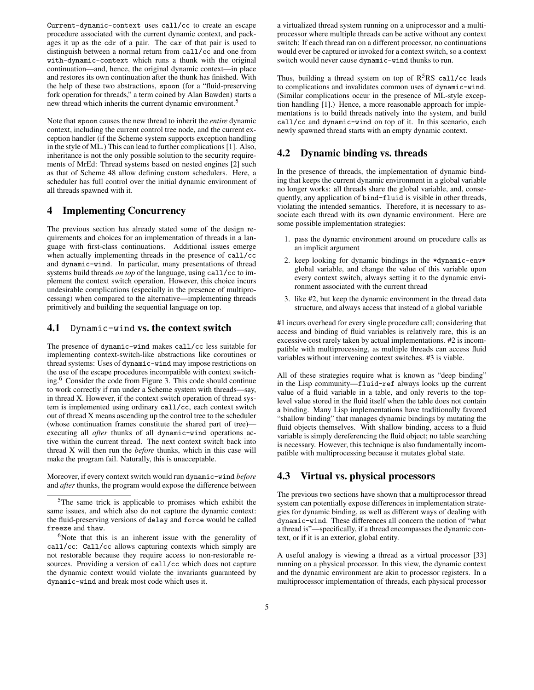Current-dynamic-context uses call/cc to create an escape procedure associated with the current dynamic context, and packages it up as the cdr of a pair. The car of that pair is used to distinguish between a normal return from call/cc and one from with-dynamic-context which runs a thunk with the original continuation—and, hence, the original dynamic context—in place and restores its own continuation after the thunk has finished. With the help of these two abstractions, spoon (for a "fluid-preserving fork operation for threads," a term coined by Alan Bawden) starts a new thread which inherits the current dynamic environment.<sup>5</sup>

Note that spoon causes the new thread to inherit the *entire* dynamic context, including the current control tree node, and the current exception handler (if the Scheme system supports exception handling in the style of ML.) This can lead to further complications[1]. Also, inheritance is not the only possible solution to the security requirements of MrEd: Thread systems based on nested engines [2] such as that of Scheme 48 allow defining custom schedulers. Here, a scheduler has full control over the initial dynamic environment of all threads spawned with it.

### **4 Implementing Concurrency**

The previous section has already stated some of the design requirements and choices for an implementation of threads in a language with first-class continuations. Additional issues emerge when actually implementing threads in the presence of call/cc and dynamic-wind. In particular, many presentations of thread systems build threads *on top* of the language, using call/cc to implement the context switch operation. However, this choice incurs undesirable complications (especially in the presence of multiprocessing) when compared to the alternative—implementing threads primitively and building the sequential language on top.

### **4.1** Dynamic-wind **vs. the context switch**

The presence of dynamic-wind makes call/cc less suitable for implementing context-switch-like abstractions like coroutines or thread systems: Uses of dynamic-wind may impose restrictions on the use of the escape procedures incompatible with context switching.<sup>6</sup> Consider the code from Figure 3. This code should continue to work correctly if run under a Scheme system with threads—say, in thread X. However, if the context switch operation of thread system is implemented using ordinary call/cc, each context switch out of thread X means ascending up the control tree to the scheduler (whose continuation frames constitute the shared part of tree) executing all *after* thunks of all dynamic-wind operations active within the current thread. The next context switch back into thread X will then run the *before* thunks, which in this case will make the program fail. Naturally, this is unacceptable.

Moreover, if every context switch would run dynamic-wind *before* and *after* thunks, the program would expose the difference between a virtualized thread system running on a uniprocessor and a multiprocessor where multiple threads can be active without any context switch: If each thread ran on a different processor, no continuations would ever be captured or invoked for a context switch, so a context switch would never cause dynamic-wind thunks to run.

Thus, building a thread system on top of  $R<sup>5</sup>RS$  call/cc leads to complications and invalidates common uses of dynamic-wind. (Similar complications occur in the presence of ML-style exception handling [1].) Hence, a more reasonable approach for implementations is to build threads natively into the system, and build call/cc and dynamic-wind on top of it. In this scenario, each newly spawned thread starts with an empty dynamic context.

# **4.2 Dynamic binding vs. threads**

In the presence of threads, the implementation of dynamic binding that keeps the current dynamic environment in a global variable no longer works: all threads share the global variable, and, consequently, any application of bind-fluid is visible in other threads, violating the intended semantics. Therefore, it is necessary to associate each thread with its own dynamic environment. Here are some possible implementation strategies:

- 1. pass the dynamic environment around on procedure calls as an implicit argument
- 2. keep looking for dynamic bindings in the \*dynamic-env\* global variable, and change the value of this variable upon every context switch, always setting it to the dynamic environment associated with the current thread
- 3. like #2, but keep the dynamic environment in the thread data structure, and always access that instead of a global variable

#1 incurs overhead for every single procedure call; considering that access and binding of fluid variables is relatively rare, this is an excessive cost rarely taken by actual implementations. #2 is incompatible with multiprocessing, as multiple threads can access fluid variables without intervening context switches. #3 is viable.

All of these strategies require what is known as "deep binding" in the Lisp community—fluid-ref always looks up the current value of a fluid variable in a table, and only reverts to the toplevel value stored in the fluid itself when the table does not contain a binding. Many Lisp implementations have traditionally favored "shallow binding" that manages dynamic bindings by mutating the fluid objects themselves. With shallow binding, access to a fluid variable is simply dereferencing the fluid object; no table searching is necessary. However, this technique is also fundamentally incompatible with multiprocessing because it mutates global state.

# **4.3 Virtual vs. physical processors**

The previous two sections have shown that a multiprocessor thread system can potentially expose differences in implementation strategies for dynamic binding, as well as different ways of dealing with dynamic-wind. These differences all concern the notion of "what a thread is"—specifically, if a thread encompasses the dynamic context, or if it is an exterior, global entity.

A useful analogy is viewing a thread as a virtual processor [33] running on a physical processor. In this view, the dynamic context and the dynamic environment are akin to processor registers. In a multiprocessor implementation of threads, each physical processor

<sup>&</sup>lt;sup>5</sup>The same trick is applicable to promises which exhibit the same issues, and which also do not capture the dynamic context: the fluid-preserving versions of delay and force would be called freeze and thaw.

<sup>&</sup>lt;sup>6</sup>Note that this is an inherent issue with the generality of call/cc: Call/cc allows capturing contexts which simply are not restorable because they require access to non-restorable resources. Providing a version of call/cc which does not capture the dynamic context would violate the invariants guaranteed by dynamic-wind and break most code which uses it.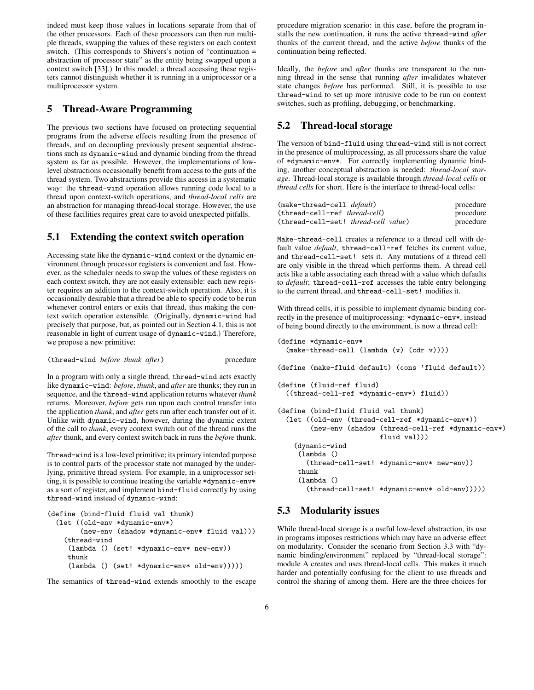indeed must keep those values in locations separate from that of the other processors. Each of these processors can then run multiple threads, swapping the values of these registers on each context switch. (This corresponds to Shivers's notion of "continuation = abstraction of processor state" as the entity being swapped upon a context switch [33].) In this model, a thread accessing these registers cannot distinguish whether it is running in a uniprocessor or a multiprocessor system.

### **5 Thread-Aware Programming**

The previous two sections have focused on protecting sequential programs from the adverse effects resulting from the presence of threads, and on decoupling previously present sequential abstractions such as dynamic-wind and dynamic binding from the thread system as far as possible. However, the implementations of lowlevel abstractions occasionally benefit from access to the guts of the thread system. Two abstractions provide this access in a systematic way: the thread-wind operation allows running code local to a thread upon context-switch operations, and *thread-local cells* are an abstraction for managing thread-local storage. However, the use of these facilities requires great care to avoid unexpected pitfalls.

# **5.1 Extending the context switch operation**

Accessing state like the dynamic-wind context or the dynamic environment through processor registers is convenient and fast. However, as the scheduler needs to swap the values of these registers on each context switch, they are not easily extensible: each new register requires an addition to the context-switch operation. Also, it is occasionally desirable that a thread be able to specify code to be run whenever control enters or exits that thread, thus making the context switch operation extensible. (Originally, dynamic-wind had precisely that purpose, but, as pointed out in Section 4.1, this is not reasonable in light of current usage of dynamic-wind.) Therefore, we propose a new primitive:

(thread-wind *before thunk after*) procedure

In a program with only a single thread, thread-wind acts exactly like dynamic-wind: *before*, *thunk*, and *after* are thunks; they run in sequence, and the thread-wind application returns whatever *thunk* returns. Moreover, *before* gets run upon each control transfer into the application *thunk*, and *after* gets run after each transfer out of it. Unlike with dynamic-wind, however, during the dynamic extent of the call to *thunk*, every context switch out of the thread runs the *after* thunk, and every context switch back in runs the *before* thunk.

Thread-wind is a low-level primitive; its primary intended purpose is to control parts of the processor state not managed by the underlying, primitive thread system. For example, in a uniprocessor setting, it is possible to continue treating the variable \*dynamic-env\* as a sort of register, and implement bind-fluid correctly by using thread-wind instead of dynamic-wind:

```
(define (bind-fluid fluid val thunk)
 (let ((old-env *dynamic-env*)
        (new-env (shadow *dynamic-env* fluid val)))
    (thread-wind
     (lambda () (set! *dynamic-env* new-env))
    thunk
     (lambda () (set! *dynamic-env* old-env)))))
```
The semantics of thread-wind extends smoothly to the escape

procedure migration scenario: in this case, before the program installs the new continuation, it runs the active thread-wind *after* thunks of the current thread, and the active *before* thunks of the continuation being reflected.

Ideally, the *before* and *after* thunks are transparent to the running thread in the sense that running *after* invalidates whatever state changes *before* has performed. Still, it is possible to use thread-wind to set up more intrusive code to be run on context switches, such as profiling, debugging, or benchmarking.

# **5.2 Thread-local storage**

The version of bind-fluid using thread-wind still is not correct in the presence of multiprocessing, as all processors share the value of \*dynamic-env\*. For correctly implementing dynamic binding, another conceptual abstraction is needed: *thread-local storage*. Thread-local storage is available through *thread-local cells* or *thread cells* for short. Here is the interface to thread-local cells:

| (make-thread-cell <i>default</i> )   | procedure |
|--------------------------------------|-----------|
| (thread-cell-ref thread-cell)        | procedure |
| (thread-cell-set! thread-cell value) | procedure |

Make-thread-cell creates a reference to a thread cell with default value *default*, thread-cell-ref fetches its current value, and thread-cell-set! sets it. Any mutations of a thread cell are only visible in the thread which performs them. A thread cell acts like a table associating each thread with a value which defaults to *default*; thread-cell-ref accesses the table entry belonging to the current thread, and thread-cell-set! modifies it.

With thread cells, it is possible to implement dynamic binding correctly in the presence of multiprocessing: \*dynamic-env\*, instead of being bound directly to the environment, is now a thread cell:

```
(define *dynamic-env*
  (make-thread-cell (lambda (v) (cdr v))))
(define (make-fluid default) (cons 'fluid default))
(define (fluid-ref fluid)
  ((thread-cell-ref *dynamic-env*) fluid))
(define (bind-fluid fluid val thunk)
  (let ((old-env (thread-cell-ref *dynamic-env*))
        (new-env (shadow (thread-cell-ref *dynamic-env*)
                         fluid val)))
    (dynamic-wind
     (lambda ()
       (thread-cell-set! *dynamic-env* new-env))
     thunk
     (lambda ()
       (thread-cell-set! *dynamic-env* old-env)))))
```
### **5.3 Modularity issues**

While thread-local storage is a useful low-level abstraction, its use in programs imposes restrictions which may have an adverse effect on modularity. Consider the scenario from Section 3.3 with "dynamic binding/environment" replaced by "thread-local storage": module A creates and uses thread-local cells. This makes it much harder and potentially confusing for the client to use threads and control the sharing of among them. Here are the three choices for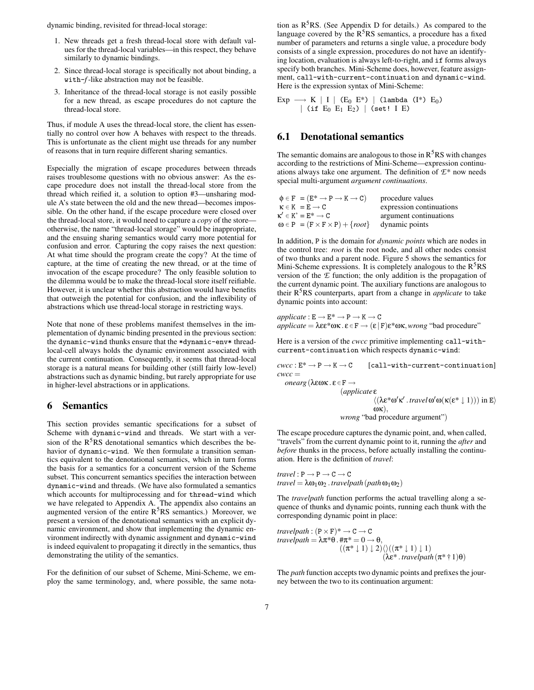dynamic binding, revisited for thread-local storage:

- 1. New threads get a fresh thread-local store with default values for the thread-local variables—in this respect, they behave similarly to dynamic bindings.
- 2. Since thread-local storage is specifically not about binding, a with-*f*-like abstraction may not be feasible.
- 3. Inheritance of the thread-local storage is not easily possible for a new thread, as escape procedures do not capture the thread-local store.

Thus, if module A uses the thread-local store, the client has essentially no control over how A behaves with respect to the threads. This is unfortunate as the client might use threads for any number of reasons that in turn require different sharing semantics.

Especially the migration of escape procedures between threads raises troublesome questions with no obvious answer: As the escape procedure does not install the thread-local store from the thread which reified it, a solution to option #3—unsharing module A's state between the old and the new thread—becomes impossible. On the other hand, if the escape procedure were closed over the thread-local store, it would need to capture a *copy* of the store otherwise, the name "thread-local storage" would be inappropriate, and the ensuing sharing semantics would carry more potential for confusion and error. Capturing the copy raises the next question: At what time should the program create the copy? At the time of capture, at the time of creating the new thread, or at the time of invocation of the escape procedure? The only feasible solution to the dilemma would be to make the thread-local store itself reifiable. However, it is unclear whether this abstraction would have benefits that outweigh the potential for confusion, and the inflexibility of abstractions which use thread-local storage in restricting ways.

Note that none of these problems manifest themselves in the implementation of dynamic binding presented in the previous section: the dynamic-wind thunks ensure that the \*dynamic-env\* threadlocal-cell always holds the dynamic environment associated with the current continuation. Consequently, it seems that thread-local storage is a natural means for building other (still fairly low-level) abstractions such as dynamic binding, but rarely appropriate for use in higher-level abstractions or in applications.

#### **6 Semantics**

This section provides semantic specifications for a subset of Scheme with dynamic-wind and threads. We start with a version of the  $R<sup>5</sup>RS$  denotational semantics which describes the behavior of dynamic-wind. We then formulate a transition semantics equivalent to the denotational semantics, which in turn forms the basis for a semantics for a concurrent version of the Scheme subset. This concurrent semantics specifies the interaction between dynamic-wind and threads. (We have also formulated a semantics which accounts for multiprocessing and for thread-wind which we have relegated to Appendix A. The appendix also contains an augmented version of the entire R<sup>5</sup>RS semantics.) Moreover, we present a version of the denotational semantics with an explicit dynamic environment, and show that implementing the dynamic environment indirectly with dynamic assignment and dynamic-wind is indeed equivalent to propagating it directly in the semantics, thus demonstrating the utility of the semantics.

For the definition of our subset of Scheme, Mini-Scheme, we employ the same terminology, and, where possible, the same nota-

tion as  $R^{5}RS$ . (See Appendix D for details.) As compared to the language covered by the  $R<sup>5</sup>RS$  semantics, a procedure has a fixed number of parameters and returns a single value, a procedure body consists of a single expression, procedures do not have an identifying location, evaluation is always left-to-right, and if forms always specify both branches. Mini-Scheme does, however, feature assignment, call-with-current-continuation and dynamic-wind. Here is the expression syntax of Mini-Scheme:

Exp  $\longrightarrow$  K | I | (E<sub>0</sub> E<sup>\*</sup>) | (lambda (I<sup>\*</sup>) E<sub>0</sub>) | (if  $E_0$   $E_1$   $E_2$ ) | (set! I E)

# **6.1 Denotational semantics**

The semantic domains are analogous to those in  $R<sup>5</sup>RS$  with changes according to the restrictions of Mini-Scheme—expression continuations always take one argument. The definition of *E*\* now needs special multi-argument *argument continuations*.

| $\phi \in F = (E^* \rightarrow P \rightarrow K \rightarrow C)$ | procedure values         |
|----------------------------------------------------------------|--------------------------|
| $\kappa \in K = E \longrightarrow C$                           | expression continuations |
| $\kappa' \in K' = E^* \rightarrow C$                           | argument continuations   |
| $\omega \in P = (F \times F \times P) + \{root\}$              | dynamic points           |

In addition, P is the domain for *dynamic points* which are nodes in the control tree: *root* is the root node, and all other nodes consist of two thunks and a parent node. Figure 5 shows the semantics for Mini-Scheme expressions. It is completely analogous to the R<sup>5</sup>RS version of the *E* function; the only addition is the propagation of the current dynamic point. The auxiliary functions are analogous to their R <sup>5</sup>RS counterparts, apart from a change in *applicate* to take dynamic points into account:

 $\textit{applicate}: E \rightarrow E^* \rightarrow P \rightarrow K \rightarrow C$  $\textit{appliedte} = \lambda \varepsilon \varepsilon^* \omega \kappa \cdot \varepsilon \in \mathbf{F} \rightarrow (\varepsilon | \mathbf{F}) \varepsilon^* \omega \kappa, \text{wrong } \text{``bad procedure''}$ 

Here is a version of the *cwcc* primitive implementing call-withcurrent-continuation which respects dynamic-wind:

 $cwcc : E^* \to P \to K \to C$  [call-with-current-continuation]  $cwcc =$ *onearg*(λεωκ . ε ∈F → (*applicate* ε

 $\langle (\lambda \varepsilon^* \omega' \kappa' \cdot \text{travel } \omega' \omega(\kappa(\varepsilon^* \downarrow 1))) \text{ in } E \rangle$ ωκ), *wrong* "bad procedure argument")

The escape procedure captures the dynamic point, and, when called, "travels" from the current dynamic point to it, running the *after* and *before* thunks in the process, before actually installing the continuation. Here is the definition of *travel*:

 $travel : P \rightarrow P \rightarrow C \rightarrow C$  $travel = \lambda \omega_1 \omega_2$ . *travelpath*( $path \omega_1 \omega_2$ )

The *travelpath* function performs the actual travelling along a sequence of thunks and dynamic points, running each thunk with the corresponding dynamic point in place:

*travelpath* :  $(P \times F)^* \rightarrow C \rightarrow C$  $travelpath = \lambda \pi^* \theta \cdot \pi^* = 0 \rightarrow \theta$ ,  $((\pi^* \downarrow 1) \downarrow 2) \langle ((\pi^* \downarrow 1) \downarrow 1)$ (λε\* . *travelpath*(π\* † 1)θ)

The *path* function accepts two dynamic points and prefixes the journey between the two to its continuation argument: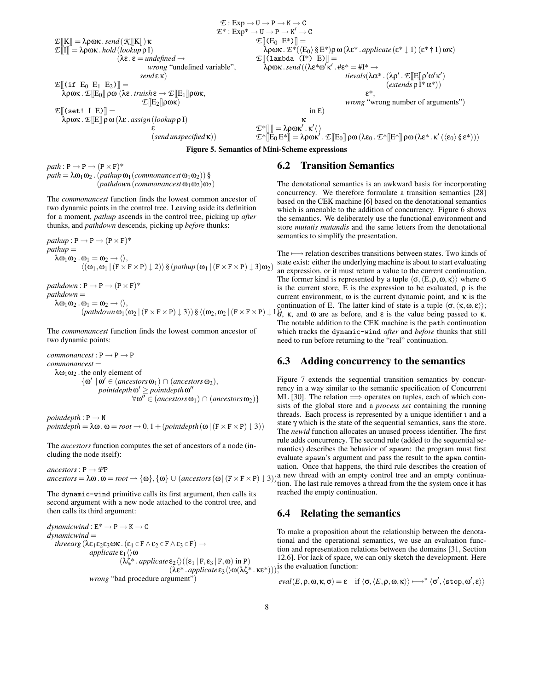$$
\begin{array}{llll}\n & \mathcal{E}:\text{Exp}\rightarrow U\rightarrow P\rightarrow K\rightarrow C \\
 & \mathcal{E}^*:\text{Exp}^*\rightarrow U\rightarrow P\rightarrow K'\rightarrow C \\
 & \mathcal{E}^*:\text{Exp}^*\rightarrow U\rightarrow P\rightarrow K'\rightarrow C \\
 & \mathcal{E}[[E_0\ E^*]] = & \text{A} \text{pow. } hold\left(\text{lookup }\rho\ I\right) \\
 & \text{(ke. }\epsilon=\text{undefined }\rightarrow \text{orange} \text{'undefined}\right. \\
 & \text{where, } \mathcal{E}[[\text{lambda }E_0\ E^*]] = & \text{where, } \mathcal{E}[[\text{lambda }E_0\ E^*] = & \text{where, } \mathcal{E}[[\text{lambda }E_0\ E^*] = & \text{where, } \mathcal{E}[[\text{lambda }E_0\ E^*] = & \text{where, } \mathcal{E}[[E_0\ E^*]] = & \text{where, } \mathcal{E}[[\text{lambda }E_0\ E^*] = & \text{where, } \mathcal{E}[[E_0\ E^*]] = & \text{where, } \mathcal{E}[[E_0\ E^*]] = & \text{where, } \mathcal{E}[[E_0\ E^*]] = & \text{where, } \mathcal{E}[[E_0\ E^*]] = & \text{where, } \mathcal{E}[[E_0\ E^*]] = & \text{where, } \mathcal{E}[[E_0\ E^*]] = & \text{where, } \mathcal{E}[[E_0\ E^*]] = & \text{where, } \mathcal{E}[[E_0\ E^*]] = & \text{where, } \mathcal{E}[[E_0\ E^*]] = & \text{where, } \mathcal{E}[[E_0\ E^*]] = & \text{where, } \mathcal{E}[[E_0\ E^*]] = & \text{where, } \mathcal{E}[[E_0\ E^*]] = & \text{where, } \mathcal{E}[[E_0\ E^*]] = & \text{where, } \mathcal{E}[[E_0\ E^*]] = & \text{where, } \mathcal{E}[[E_0\ E^*]] = & \text{where, } \mathcal{E}[[E_0\ E^*]] = & \text{where, } \mathcal{E}[[E_0\ E^*]] = & \text{where, } \mathcal{E}[[E_0\ E^*]] = & \text{where, } \mathcal{E}[[E_0\ E^*
$$

**Figure 5. Semantics of Mini-Scheme expressions**

 $path: \textbf{P} \longrightarrow \textbf{P} \longrightarrow (\textbf{P} \times \textbf{F})^*$  $path = \lambda \omega_1 \omega_2$ . (*pathup*  $\omega_1$  (*commonancest*  $\omega_1 \omega_2$ )) §  $(pathdown(commonancest \omega_1 \omega_2) \omega_2)$ 

The *commonancest* function finds the lowest common ancestor of two dynamic points in the control tree. Leaving aside its definition for a moment, *pathup* ascends in the control tree, picking up *after* thunks, and *pathdown* descends, picking up *before* thunks:

 $pathup: P \rightarrow P \rightarrow (P \times F)^*$ *pathup* =  $\lambda \omega_1 \omega_2 \cdot \omega_1 = \omega_2 \rightarrow \langle \rangle,$  $\langle (\omega_1, \omega_1 | (F \times F \times P) \downarrow 2) \rangle$  §  $(\text{pathup}(\omega_1 | (F \times F \times P) \downarrow 3) \omega_2)$ 

 $pathdown: P \rightarrow P \rightarrow (P \times F)^*$ *pathdown* =  $\lambda \omega_1 \omega_2 \cdot \omega_1 = \omega_2 \rightarrow \langle \rangle,$ 

The *commonancest* function finds the lowest common ancestor of two dynamic points:

 $commonancest : P \rightarrow P \rightarrow P$ *commonancest* =  $λω_1ω_2$ . the only element of  $\{\omega' \mid \omega' \in (ancestors \omega_1) \cap (ancestors \omega_2),\}$ *pointdepth* **ω'** ≥ *pointdepth* **ω''**  $\forall \omega'' \in (ancestors \omega_1) \cap (ancestors \omega_2) \}$ 

 $pointdepth : P \rightarrow N$  $pointdepth = \lambda \omega \cdot \omega = root \rightarrow 0, 1 + (pointdepth(\omega) (F \times F \times P) \downarrow 3))$ 

The *ancestors* function computes the set of ancestors of a node (including the node itself):

 $\textit{ancestors}: \mathsf{P} \rightarrow \textit{PP}$  $\alpha$ *ancestors* =  $\lambda \omega \cdot \omega$  =  $root \rightarrow {\omega}, {\omega}$  ∪ (*ancestors* ( $\omega$ ) (**F** × **F** × **P**)  $\downarrow$  3)

The dynamic-wind primitive calls its first argument, then calls its second argument with a new node attached to the control tree, and then calls its third argument:

 $dynamicwind : E^* \to P \to K \to C$ *dynamicwind* = *threearg* ( $\lambda \varepsilon_1 \varepsilon_2 \varepsilon_3 \omega \kappa$ .  $(\varepsilon_1 \in F \wedge \varepsilon_2 \in F \wedge \varepsilon_3 \in F) \rightarrow$ *applicate* ε<sub>1</sub> $\langle \rangle$ ω  $(\lambda \zeta^* \cdot \text{appliedte} \, \epsilon_2 \langle \rangle ((\epsilon_1 | F, \epsilon_3 | F, \omega) \, \text{in} \, P)$  $(\lambda \varepsilon^* .\text{applicate}(\varepsilon_3 \setminus \omega) \cdot \hat{\lambda}^* . \kappa \varepsilon^*))$ , is the evaluation function: *wrong* "bad procedure argument")

### **6.2 Transition Semantics**

The denotational semantics is an awkward basis for incorporating concurrency. We therefore formulate a transition semantics [28] based on the CEK machine [6] based on the denotational semantics which is amenable to the addition of concurrency. Figure 6 shows the semantics. We deliberately use the functional environment and store *mutatis mutandis* and the same letters from the denotational semantics to simplify the presentation.

 $\omega_1 = \omega_2 \rightarrow \langle \rangle$ ,<br>(*pathdown*  $\omega_1(\omega_2 | (F \times F \times P) \downarrow 3)$ ) §  $\langle (\omega_2, \omega_2 | (F \times F \times P) \downarrow 1)$ ; k, and  $\omega$  are as before, and  $\varepsilon$  is the value being passed to k. The  $\longmapsto$  relation describes transitions between states. Two kinds of state exist: either the underlying machine is about to start evaluating an expression, or it must return a value to the current continuation. The former kind is represented by a tuple  $\langle \sigma, \langle E, \rho, \omega, \kappa \rangle \rangle$  where  $\sigma$ is the current store, E is the expression to be evaluated,  $\rho$  is the current environment,  $\omega$  is the current dynamic point, and  $\kappa$  is the σ, κ, and ω are as before, and ε is the value being passed to κ. The notable addition to the CEK machine is the path continuation which tracks the dynamic-wind *after* and *before* thunks that still need to run before returning to the "real" continuation.

### **6.3 Adding concurrency to the semantics**

Figure 7 extends the sequential transition semantics by concurrency in a way similar to the semantic specification of Concurrent ML [30]. The relation  $\implies$  operates on tuples, each of which consists of the global store and a *process set* containing the running threads. Each process is represented by a unique identifier ι and a state γ which is the state of the sequential semantics, sans the store. The *newid* function allocates an unused process identifier. The first rule adds concurrency. The second rule (added to the sequential semantics) describes the behavior of spawn: the program must first evaluate spawn's argument and pass the result to the spwn continuation. Once that happens, the third rule describes the creation of a new thread with an empty control tree and an empty continuation. The last rule removes a thread from the the system once it has reached the empty continuation.

### **6.4 Relating the semantics**

To make a proposition about the relationship between the denotational and the operational semantics, we use an evaluation function and representation relations between the domains [31, Section 12.6]. For lack of space, we can only sketch the development. Here

$$
eval(E, \rho, \omega, \kappa, \sigma) = \varepsilon \quad \text{if } \langle \sigma, \langle E, \rho, \omega, \kappa \rangle \rangle \longmapsto^* \langle \sigma', \langle \text{stop}, \omega', \varepsilon \rangle \rangle
$$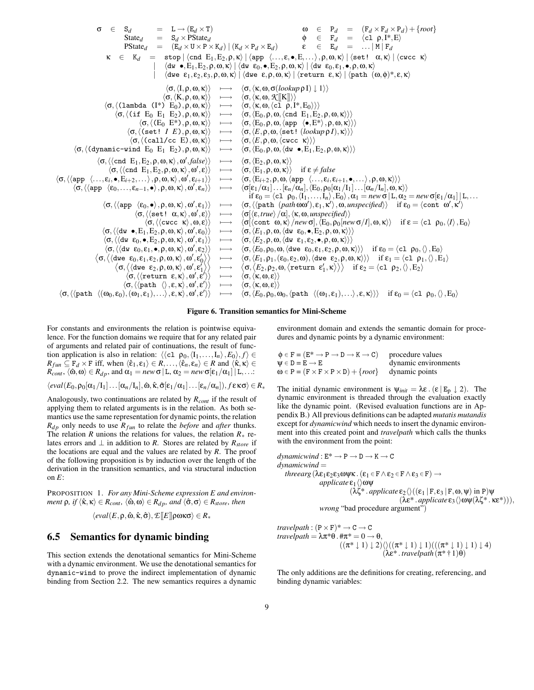$\sigma \in S_d$  = L → (E<sub>d</sub> × T)<br>State<sub>d</sub> = S<sub>d</sub> × PState<sub>d</sub> State<sub>d</sub> =  $S_d \times PState_d$ <br>
PState<sub>d</sub> =  $(E_d \times U \times P)$  $=$   $(E_d \times U \times P \times K_d) | (K_d \times P_d \times E_d)$  $ω$  ∈ P<sub>*d*</sub> = (F<sub>*d*</sub> × F<sub>*d*</sub> × P<sub>*d*</sub>)+{*root*}<br>
φ ∈ F<sub>*d*</sub> = (c1 ρ, I<sup>\*</sup>, E)</sup>  $\begin{array}{rcl}\n\phi & \in & F_d = \langle c1 \rho, I^*, E \rangle \\
\epsilon & \in & E_d = \dots |M| F_d\n\end{array}$  $=$  ... | M | F<sub>d</sub>  $\kappa \in K_d = \text{stop} \, |\, \langle \text{cnd } E_1, E_2, \rho, \kappa \rangle \, |\, \langle \text{app } \langle \dots, \varepsilon, \bullet, E, \dots \rangle, \rho, \omega, \kappa \rangle \, |\, \langle \text{set!} \, \alpha, \kappa \rangle \, |\, \langle \text{succ } \kappa \rangle$  $|\langle \text{dw}\bullet,\text{E}_1,\text{E}_2,\rho,\omega,\kappa\rangle|$   $\langle \text{dw}\epsilon_0,\bullet,\text{E}_2,\rho,\omega,\kappa\rangle$  |  $\langle \text{dw}\epsilon_0,\epsilon_1,\bullet,\rho,\omega,\kappa\rangle$  $\left\langle \text{dwe }\; \epsilon_1, \epsilon_2, \epsilon_3, \rho, \omega, \kappa \right\rangle \bigm\vert \left\langle \text{dwe }\; \epsilon, \rho, \omega, \kappa \right\rangle \bigm\vert \left\langle \text{return }\; \epsilon, \kappa \right\rangle \bigm\vert \left\langle \text{path } \left( \omega, \phi \right)^*, \epsilon, \kappa \right\rangle$  $\langle \sigma, \langle I, \rho, \omega, \kappa \rangle \rangle \longrightarrow \langle \sigma, \langle \kappa, \omega, \sigma(\text{lookup } \rho I) \downarrow 1 \rangle \rangle$  $\langle \sigma, \langle \mathbf{K}, \rho, \omega, \mathbf{\kappa} \rangle \rangle \quad \longmapsto \quad \langle \sigma, \langle \mathbf{\kappa}, \omega, \mathcal{K} [\llbracket \mathbf{K} \rrbracket] \rangle \rangle \ \mapsto \quad \langle \sigma, \langle \mathbf{\kappa}, \omega, \langle \mathbf{c} \mathbf{1} \; \rho, \mathbf{1}^*, \mathbf{E}_0 \rangle \rangle \rangle$  $\langle \sigma, \langle \text{(lambda (I*) } E_0), \rho, \omega, \kappa \rangle \rangle$ <br> $\langle \sigma, \langle \text{(if E<sub>0</sub> E<sub>1</sub> E<sub>2</sub>), \rho, \omega, \kappa \rangle \rangle$  $\begin{array}{l} \hbox{h} \colon\thinspace \mathrm{E}_0 \ \mathrm{E}_1 \ \mathrm{E}_2),\rho,\omega,\kappa\rangle\rangle \quad \longmapsto \quad \langle\sigma,\langle\mathrm{E}_0,\rho,\omega,\langle\mathrm{cnd}\;\;\mathrm{E}_1,\mathrm{E}_2,\rho,\omega,\kappa\rangle\rangle\rangle \ \langle\sigma,\langle\mathrm{E}_0\;\;\mathrm{E}^* \rangle,\rho,\omega,\kappa\rangle\rangle \quad \longmapsto \quad \langle\sigma,\langle\mathrm{E}_0,\rho,\omega,\langle\mathrm{app}\;\;\langle\bullet,\mathrm{E}^* \rangle,\rho,\omega,\kappa\rangle\rangle\rangle \end{array}$  $\langle \sigma, \langle E_0 E^* \rangle, \rho, \omega, \kappa \rangle \rangle \longrightarrow \langle \sigma, \langle E_0, \rho, \omega, \langle \text{app } \langle \bullet, E^* \rangle, \rho, \omega, \kappa \rangle \rangle \rangle$ <br> $\langle \sigma, \langle (\text{set} \mid I E), \rho, \omega, \kappa \rangle \rangle \longrightarrow \langle \sigma, \langle E, \rho, \omega, \langle \text{set} \mid (lookup \rho I), \kappa \rangle \rangle \rangle$  $\longmapsto$   $\langle \sigma, \langle E, \rho, \omega, \langle \texttt{set}! \ (lookup \rho I), \kappa \rangle \rangle$  $\langle \sigma, \langle \text{Caal}/c \c E \rangle, \omega, \kappa \rangle \rangle \longrightarrow \langle \sigma, \langle E, \rho, \omega, \langle \text{cucc } \kappa \rangle \rangle \rangle$ <br>ind E<sub>0</sub> E<sub>1</sub> E<sub>2</sub>),  $\rho, \omega, \kappa \rangle \rangle \longrightarrow \langle \sigma, \langle E_0, \rho, \omega, \langle \text{d}w \bullet, E_1, E_2, \rho, \omega, \kappa \rangle \rangle \rangle$  $\langle \sigma, \langle$ (dynamic-wind E<sub>0</sub> E<sub>1</sub> E<sub>2</sub>), $\rho, \omega, \kappa \rangle$  $\langle \sigma, \langle \langle \text{cnd } E_1, E_2, \rho, \omega, \kappa \rangle, \omega'$  $\longmapsto \langle \sigma, \langle E_2, \rho, \omega, \kappa \rangle \rangle$  $\langle \sigma, \langle \langle \text{cnd } E_1, E_2, \rho, \omega, \kappa \rangle, \omega'$  $\longmapsto \langle \sigma, \langle E_1, \rho, \omega, \kappa \rangle \rangle$  if ε  $\neq$  *false*  $\langle \sigma, \langle \langle \mathtt{app} \; \; \langle \ldots, \epsilon_i, \bullet, \mathrm{E}_{i+2}, \ldots \rangle, \rho, \omega, \kappa \rangle, \omega'$  $\langle \varepsilon_{i+1} \rangle \rangle \quad \longmapsto \quad \langle \sigma, \langle \text{E}_{i+2}, \rho, \omega, \langle \text{app} \ \ \langle \dots, \varepsilon_i, \varepsilon_{i+1}, \bullet, \dots \rangle, \rho, \omega, \kappa \rangle \rangle \rangle$  $\langle \sigma, \langle \langle app \rangle \langle \varepsilon_0, \ldots, \varepsilon_{n-1}, \bullet \rangle, \rho, \omega, \kappa \rangle, \omega'$  $\rightarrow \langle \sigma[\epsilon_1/\alpha_1] \dots [\epsilon_n/\alpha_n], \langle E_0, \rho_0[\alpha_1/I_1] \dots [\alpha_n/I_n], \omega, \kappa \rangle \rangle$ if  $\varepsilon_0 = \langle c1 \rho_0, \langle I_1,\ldots,I_n \rangle, E_0 \rangle, \alpha_1 = new \sigma | L, \alpha_2 = new \sigma[\varepsilon_1/\alpha_1] | L, \ldots$  $\langle \sigma,\langle\langle \mathtt{app}\ \ \langle \epsilon_0,\bullet\rangle\,,\rho,\omega,\kappa\rangle\,,\omega'$  $\langle \varepsilon_1 \rangle \rangle \quad \longmapsto \quad \langle \sigma, \langle \langle \text{path } (\text{path } \omega \omega'), \varepsilon_1, \kappa' \rangle, \omega, \text{unspecified} \rangle \rangle \quad \text{if } \varepsilon_0 = \langle \text{cont } \omega', \kappa' \rangle$  $\langle \sigma, \langle \langle \texttt{set} : \alpha, \kappa \rangle, \omega' \rangle$  $\langle \sigma | \langle \varepsilon, \text{true} \rangle / \alpha |, \langle \kappa, \omega, \text{unspecified} \rangle \rangle$  $\langle \sigma, \langle \langle \text{cwcc } \kappa \rangle, \omega, \varepsilon \rangle \rangle \longrightarrow \langle \sigma | \langle \text{cont } \omega, \kappa \rangle / \text{new} \sigma |, \langle \varepsilon_0, \rho_0 | \text{new } \sigma / I |, \omega, \kappa \rangle \rangle \text{ if } \varepsilon = \langle \text{cl } \rho_0, \langle I \rangle, \varepsilon_0 \rangle$  $\langle \sigma,\langle \langle \text{dw } \bullet, E_1, E_2, \rho, \omega, \kappa \rangle, \omega'$  $\rightarrow \langle \sigma, \langle E_1, \rho, \omega, \langle \mathrm{d}w \epsilon_0, \bullet, E_2, \rho, \omega, \kappa \rangle \rangle$  $\langle \sigma,\langle \langle \text{dw} \ \epsilon_0,\bullet, \text{E}_2,\rho,\omega,\kappa \rangle, \omega'$  $\langle \sigma , \langle E_2,\rho,\omega,\langle \mathrm{d} \mathrm{w} \ \ \epsilon_1,\epsilon_2,\bullet,\rho,\omega,\kappa \rangle \rangle \rangle$  $\langle \sigma, \langle \langle \mathrm{d} w \, \varepsilon_0, \varepsilon_1, \bullet, \rho, \omega, \kappa \rangle, \omega'$  $\langle \sigma, \langle E_0, \rho_0, \omega, \langle \text{dwe } \varepsilon_0, \varepsilon_1, \varepsilon_2, \rho, \omega, \kappa \rangle \rangle$  if  $\varepsilon_0 = \langle c1 \rho_0, \langle \rangle, E_0 \rangle$  $\left\langle \sigma, \left\langle \left\langle \mathrm{dwe}\right| \varepsilon_0, \varepsilon_1, \varepsilon_2, \rho, \omega, \kappa \right\rangle, \omega', \varepsilon_0' \right\rangle \right.$  $\longmapsto \langle \sigma,\langle E_1,\rho_1,(\varepsilon_0,\varepsilon_2,\omega), \langle \text{dwe } \varepsilon_2,\rho,\omega,\kappa \rangle \rangle \rangle \quad \text{if } \varepsilon_1 = \langle \text{cl } \rho_1,\langle \rangle,E_1 \rangle$  $\big\langle \sigma, \big\langle \langle \texttt{dwe } \; \epsilon_2, \rho, \omega, \kappa \rangle \, , \omega', \epsilon_1' \;$  $\longmapsto$  $\big\langle \sigma, \big\langle E_2,\rho_2,\omega,\big\langle \texttt{return }\mathbf{\epsilon}_1',\kappa \big\rangle \big\rangle \big\rangle \quad\text{if } \mathbf{\epsilon}_2 = \langle \texttt{cl}\:\:\rho_2,\langle \rangle\,,E_2 \rangle$  $\langle \sigma, \langle \langle \text{return} \ \varepsilon, \kappa \rangle, \omega', \varepsilon' \rangle$  $\longmapsto \langle \sigma, \langle \kappa, \omega, \epsilon \rangle \rangle$  $\langle \sigma, \langle \langle \text{path} \rangle \rangle, \varepsilon, \kappa \rangle, \omega', \varepsilon'$  $\langle \sigma, \langle \kappa, \omega, \varepsilon \rangle \rangle$  $\langle \sigma, \langle \langle \texttt{path} \rangle (\omega_0, \varepsilon_0), (\omega_1, \varepsilon_1), \ldots \rangle, \varepsilon, \kappa \rangle, \omega', \varepsilon'$  $\longleftrightarrow$   $\langle \sigma, \langle E_0, \rho_0, \omega_0, \langle \text{path } \langle (\omega_1, \varepsilon_1), \ldots \rangle, \varepsilon, \kappa \rangle \rangle \rangle$  if  $\varepsilon_0 = \langle c_1 \rho_0, \langle \rangle, E_0 \rangle$ 

**Figure 6. Transition semantics for Mini-Scheme**

For constants and environments the relation is pointwise equivalence. For the function domains we require that for any related pair of arguments and related pair of continuations, the result of function application is also in relation:  $\langle \langle c1 \rho_0, \langle I_1,\ldots,I_n \rangle, E_0 \rangle, f \rangle \in$  $R_{fun} \subseteq F_d \times F$  iff, when  $\langle \hat{\varepsilon}_1, \varepsilon_1 \rangle \in R, \ldots, \langle \hat{\varepsilon}_n, \varepsilon_n \rangle \in R$  and  $\langle \hat{\kappa}, \kappa \rangle \in$  $\hat{R}_{cont}$ ,  $\langle \hat{\omega}, \omega \rangle \in R_{dp}$ , and  $\alpha_1 = new \sigma |$  L,  $\alpha_2 = new \sigma [\epsilon_1/\alpha_1] |$  L,...:

$$
\langle eval(E_0, \rho_0[\alpha_1/I_1] \dots [\alpha_n/I_n], \hat{\omega}, \hat{\kappa}, \hat{\sigma}[\epsilon_1/\alpha_1] \dots [\epsilon_n/\alpha_n]), f \in \kappa \sigma \rangle \in R_*
$$

Analogously, two continuations are related by *Rcont* if the result of applying them to related arguments is in the relation. As both semantics use the same representation for dynamic points, the relation  $R_{dp}$  only needs to use  $R_{fun}$  to relate the *before* and *after* thunks. The relation *R* unions the relations for values, the relation  $R_*$  relates errors and  $\bot$  in addition to *R*. Stores are related by  $R_{store}$  if the locations are equal and the values are related by *R*. The proof of the following proposition is by induction over the length of the derivation in the transition semantics, and via structural induction on *E*:

PROPOSITION 1. *For any Mini-Scheme expression E and environment*  $\rho$ *, if*  $\langle \hat{\mathbf{k}}, \mathbf{\kappa} \rangle \in R_{cont}$ ,  $\langle \hat{\omega}, \omega \rangle \in R_{dp}$ *, and*  $\langle \hat{\sigma}, \sigma \rangle \in R_{store}$ *, then* 

$$
\langle \mathit{eval}(E,\rho,\hat{\omega},\hat{\kappa},\hat{\sigma}), \mathcal{E}[\![E]\!] \rho \omega \kappa \sigma \rangle \in R_*
$$

# **6.5 Semantics for dynamic binding**

This section extends the denotational semantics for Mini-Scheme with a dynamic environment. We use the denotational semantics for dynamic-wind to prove the indirect implementation of dynamic binding from Section 2.2. The new semantics requires a dynamic environment domain and extends the semantic domain for procedures and dynamic points by a dynamic environment:

| $\Phi \in \mathbf{F} = (\mathbf{E}^* \to \mathbf{P} \to \mathbf{D} \to \mathbf{K} \to \mathbf{C})$ | procedure values     |
|----------------------------------------------------------------------------------------------------|----------------------|
| $\Psi \in D = E \longrightarrow E$                                                                 | dynamic environments |
| $\omega \in P = (F \times F \times P \times D) + \{root\}$ dynamic points                          |                      |

The initial dynamic environment is  $\psi_{init} = \lambda \varepsilon \cdot (\varepsilon | E_p \downarrow 2)$ . The dynamic environment is threaded through the evaluation exactly like the dynamic point. (Revised evaluation functions are in Appendix B.) All previous definitions can be adapted *mutatis mutandis* except for *dynamicwind* which needs to insert the dynamic environment into this created point and *travelpath* which calls the thunks with the environment from the point:

$$
dynamicwind : E^* \rightarrow P \rightarrow D \rightarrow K \rightarrow C
$$
\n
$$
dynamicwind =
$$
\n
$$
therearg (\lambda \varepsilon_1 \varepsilon_2 \varepsilon_3 \omega \psi \kappa \cdot (\varepsilon_1 \in F \wedge \varepsilon_2 \in F \wedge \varepsilon_3 \in F) \rightarrow
$$
\n
$$
applicate \varepsilon_1 \langle \rangle \omega \psi
$$
\n
$$
(\lambda \zeta^* \cdot applicable \varepsilon_2 \langle \rangle ((\varepsilon_1 | F, \varepsilon_3 | F, \omega, \psi) in P) \psi
$$
\n
$$
(\lambda \varepsilon^* \cdot applicable \varepsilon_3 \langle \rangle \omega \psi (\lambda \zeta^* \cdot \kappa \varepsilon^*))),
$$
\n
$$
wrong \text{ "bad procedure argument" )}
$$

$$
travelpath: (P \times F)^* \to C \to C
$$
  
\n
$$
travelpath = \lambda \pi^* \theta . \# \pi^* = 0 \to \theta,
$$
  
\n
$$
((\pi^* \downarrow 1) \downarrow 2) \langle ((\pi^* \downarrow 1) \downarrow 1) (((\pi^* \downarrow 1) \downarrow 1) \downarrow 4)
$$
  
\n
$$
(\lambda e^* . \text{travelpath} (\pi^* \uparrow 1) \theta)
$$

The only additions are the definitions for creating, referencing, and binding dynamic variables: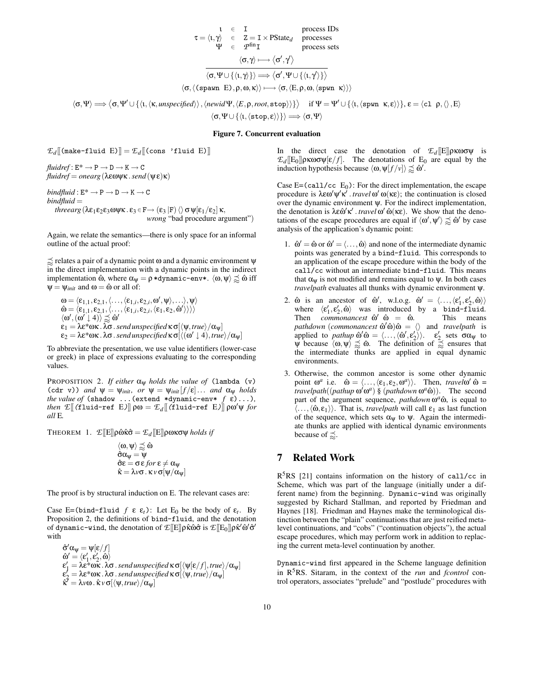$$
\tau = \langle \iota, \gamma \rangle \quad \in \quad \mathbf{I} \qquad \text{process IDs} \\ \tau = \langle \iota, \gamma \rangle \quad \in \quad \mathbf{Z} = \mathbf{I} \times \text{PState}_d \qquad \text{processes} \\ \Psi \quad \in \quad \mathcal{P}^{\text{fin}}\mathbf{I} \qquad \text{process sets} \\ \langle \sigma, \gamma \rangle \longmapsto \langle \sigma', \gamma' \rangle \\ \overline{\langle \sigma, \Psi \cup \{\langle \iota, \gamma \rangle\} \rangle} \Longrightarrow \overline{\langle \sigma', \Psi \cup \{\langle \iota, \gamma' \rangle\} \rangle} \\ \langle \sigma, \langle \text{span } \mathbf{E} \rangle, \rho, \omega, \kappa \rangle \rangle \longmapsto \langle \sigma, \langle \mathbf{E}, \rho, \omega, \langle \text{spwn } \kappa \rangle \rangle \rangle
$$

 $\langle \sigma, \Psi \rangle \Longrightarrow \langle \sigma, \Psi' \cup \{ \langle \iota, \langle \kappa, \text{unspecified} \rangle \rangle, \langle \text{newid}\Psi, \langle E, \rho, \text{root}, \text{stop} \rangle \} \rangle \text{ if } \Psi = \Psi' \cup \{ \langle \iota, \langle \text{spwn } \kappa, \varepsilon \rangle \rangle \}, \varepsilon = \langle c1 \rho, \langle \iota, \xi \rangle \rangle$  $\langle \sigma, \Psi \cup \{ \langle \iota, \langle \texttt{stop}, \varepsilon \rangle \rangle \} \rangle \Longrightarrow \langle \sigma, \Psi \rangle$ 

#### **Figure 7. Concurrent evaluation**

$$
\mathcal{L}_d[\![\texttt{(make-fluid E)}]\!] = \mathcal{L}_d[\![\texttt{(cons 'fluid E)}]\!]
$$

 $fluidref: E^* \rightarrow P \rightarrow D \rightarrow K \rightarrow C$ *fluidref* = *onearg*(λεωψκ .*send*(ψε)κ)

 $bindfluid: E^* \rightarrow P \rightarrow D \rightarrow K \rightarrow C$ *bindfluid* = *threearg*  $(\lambda \varepsilon_1 \varepsilon_2 \varepsilon_3 \omega \psi \kappa \cdot \varepsilon_3 \in \mathbf{F} \to (\varepsilon_3 \, \vert \mathbf{F}) \, \langle \rangle \, \sigma \psi[\varepsilon_1/\varepsilon_2] \, \kappa$ , *wrong* "bad procedure argument")

Again, we relate the semantics—there is only space for an informal outline of the actual proof:

 $\approx$  relates a pair of a dynamic point  $\omega$  and a dynamic environment  $\psi$ in the direct implementation with a dynamic points in the indirect implementation  $\hat{\omega}$ , where  $\alpha_{\psi} = \rho * \text{dynamic-env} *$ .  $\langle \omega, \psi \rangle \precsim \hat{\omega}$  iff  $\Psi = \Psi_{init}$  and  $\omega = \hat{\omega}$  or all of:

$$
\begin{array}{l} \omega = \langle \epsilon_{1,1}, \epsilon_{2,1}, \langle \ldots, \langle \epsilon_{1,i}, \epsilon_{2,i}, \omega', \psi \rangle, \ldots \rangle, \psi \rangle \\ \hat{\omega} = \langle \epsilon_{1,1}, \epsilon_{2,1}, \langle \ldots, \langle \epsilon_{1,i}, \epsilon_{2,i}, \langle \epsilon_1, \epsilon_2, \hat{\omega}' \rangle \rangle \rangle \rangle \\ \langle \omega', (\omega' \downarrow 4) \rangle \precsim \hat{\omega}' \\ \epsilon_1 = \lambda \epsilon^* \omega \kappa \, . \lambda \sigma \, . \, \textit{send unspecified} \, \kappa \, \sigma[\langle \psi, \textit{true} \rangle / \alpha_{\psi}] \\ \epsilon_2 = \lambda \epsilon^* \omega \kappa \, . \lambda \sigma \, . \, \textit{send unspecified} \, \kappa \, \sigma[\langle \langle \omega' \downarrow 4 \rangle, \textit{true} \rangle / \alpha_{\psi}] \end{array}
$$

To abbreviate the presentation, we use value identifiers (lower-case or greek) in place of expressions evaluating to the corresponding values.

PROPOSITION 2. *If either* αψ *holds the value of* (lambda (v) (cdr v)) *and*  $\psi = \psi_{init}$ *, or*  $\psi = \psi_{init}[f/\varepsilon] \dots$  *and*  $\alpha_{\psi}$  *holds the* value of (shadow ...(extend \*dynamic-env\*  $f(\epsilon)$ ...), *then*  $\mathcal{L}[(\text{fluid-ref } E)] \rho \omega = \mathcal{L}_d[(\text{fluid-ref } E)] \rho \omega' \psi$  *for all* E*.*

THEOREM 1.  $\mathcal{L}[[E]]\rho\hat{\omega}\hat{\kappa}\hat{\sigma} = \mathcal{L}_d[[E]]\rho\omega\kappa\sigma\psi$  *holds if* 

$$
\begin{array}{l} \langle \omega, \psi \rangle \underset{\infty}{\precsim} \hat{\omega} \\ \hat{\sigma} \alpha_{\psi} = \psi \\ \hat{\sigma} \epsilon = \sigma \epsilon \text{ for } \epsilon \neq \alpha_{\psi} \\ \hat{\kappa} = \lambda \nu \sigma \text{ . } \kappa \nu \sigma [\psi / \alpha_{\psi}] \end{array}
$$

The proof is by structural induction on E. The relevant cases are:

Case E=(bind-fluid  $f \varepsilon \varepsilon_t$ ): Let E<sub>0</sub> be the body of  $\varepsilon_t$ . By Proposition 2, the definitions of bind-fluid, and the denotation of dynamic-wind, the denotation of  $\mathcal{I}\llbracket \mathrm{E} \rrbracket$ ρκ̂ώσ̂ is  $\mathcal{I}\llbracket \mathrm{E}_0 \rrbracket$ ρκ̂ $'$ ω̂′σ̃ $'$ with

 $\hat{\sigma}' \alpha_{\psi} = \psi[\varepsilon/f]$  $\mathbf{\hat{\omega}}^{\prime}=\langle\mathbf{\epsilon}_1^{\prime},\mathbf{\epsilon}_2^{\prime},\hat{\mathbf{\omega}}\rangle$ ε'<sub>1</sub> = λε\*ωκ. λσ. send unspecified κσ[ $\langle \psi[\varepsilon/f], true \rangle / \alpha_{\psi}$ ]<br>ε'<sub>2</sub> = λε\*ωκ. λσ. send unspecified κσ[ $\langle \psi, true \rangle / \alpha_{\psi}$ ]  $\hat{\kappa}^7 = \lambda v \omega$  .  $\hat{\kappa} v \sigma[\langle \psi, \text{true} \rangle / \alpha_{\psi}]$ 

In the direct case the denotation of  $\mathcal{L}_d[[E]]$ ρκωσψ is  $\mathcal{L}_d[[E_0]]$ ρκωσψ[ε/f]. The denotations of E<sub>0</sub> are equal by the induction hypothesis because  $\langle \omega, \psi[f / v] \rangle \gtrapprox \hat{\omega}'$ .

Case E=(call/cc  $E_0$ ): For the direct implementation, the escape procedure is  $\lambda \varepsilon \omega' \psi' \kappa'$ . *travel*  $\omega' \omega(\kappa \varepsilon)$ ; the continuation is closed over the dynamic environment ψ. For the indirect implementation, the denotation is  $\lambda \varepsilon \hat{\omega}' \kappa'$ . *travel*  $\omega' \hat{\omega}(\kappa \varepsilon)$ . We show that the denotations of the escape procedures are equal if  $\langle \omega', \psi' \rangle \precsim \hat{\omega}'$  by case analysis of the application's dynamic point:

- 1.  $\hat{\omega}' = \hat{\omega}$  or  $\hat{\omega}' = \langle \dots, \hat{\omega} \rangle$  and none of the intermediate dynamic points was generated by a bind-fluid. This corresponds to an application of the escape procedure within the body of the call/cc without an intermediate bind-fluid. This means that  $\alpha_{\psi}$  is not modified and remains equal to  $\psi$ . In both cases *travelpath* evaluates all thunks with dynamic environment ψ.
- 2.  $\hat{\omega}$  is an ancestor of  $\hat{\omega}'$ , w.l.o.g.  $\hat{\omega}' = \langle ..., \langle \varepsilon'_1, \varepsilon'_2, \hat{\omega} \rangle \rangle$ where  $\langle \varepsilon_1', \varepsilon_2', \hat{\omega} \rangle$  was introduced by a bind-fluid. Then *commonancest*  $\hat{\omega}'$   $\hat{\omega} = \hat{\omega}$ .  $\sqrt{6}$  =  $\hat{\omega}$ . This means  $pathdown$  (*commonancest*  $\hat{\omega}'\hat{\omega}$ ) $\hat{\omega} = \langle \rangle$  and *travelpath* is applied to *pathup*  $\hat{\omega}'\hat{\omega} = \langle \dots, \langle \hat{\omega}', \varepsilon'_2 \rangle \rangle$ .  $\varepsilon'_2$  sets  $\sigma \alpha_\psi$  to  $\Psi$  because  $\langle \omega, \psi \rangle \precsim \hat{\omega}$ . The definition of  $\precsim$  ensures that the intermediate thunks are applied in equal dynamic environments.
- 3. Otherwise, the common ancestor is some other dynamic point  $\omega^a$  i.e.  $\hat{\omega} = \langle \dots, \langle \varepsilon_1, \varepsilon_2, \omega^a \rangle \rangle$ . Then, *travel*  $\omega' \hat{\omega} =$  $travelpath((pathup \omega' \omega^a) \S (pathdown \omega^a \omega^a)).$  The second part of the argument sequence, *pathdown*  $\omega^a \hat{\omega}$ , is equal to  $\langle \ldots, \langle \hat{\omega}, \varepsilon_1 \rangle \rangle$ . That is, *travelpath* will call  $\varepsilon_1$  as last function of the sequence, which sets  $\alpha_{\psi}$  to  $\psi$ . Again the intermediate thunks are applied with identical dynamic environments because of  $\precsim$ .

### **7 Related Work**

R<sup>5</sup>RS [21] contains information on the history of call/cc in Scheme, which was part of the language (initially under a different name) from the beginning. Dynamic-wind was originally suggested by Richard Stallman, and reported by Friedman and Haynes [18]. Friedman and Haynes make the terminological distinction between the "plain" continuations that are just reified metalevel continuations, and "cobs" ("continuation objects"), the actual escape procedures, which may perform work in addition to replacing the current meta-level continuation by another.

Dynamic-wind first appeared in the Scheme language definition in R <sup>5</sup>RS. Sitaram, in the context of the *run* and *fcontrol* control operators, associates "prelude" and "postlude" procedures with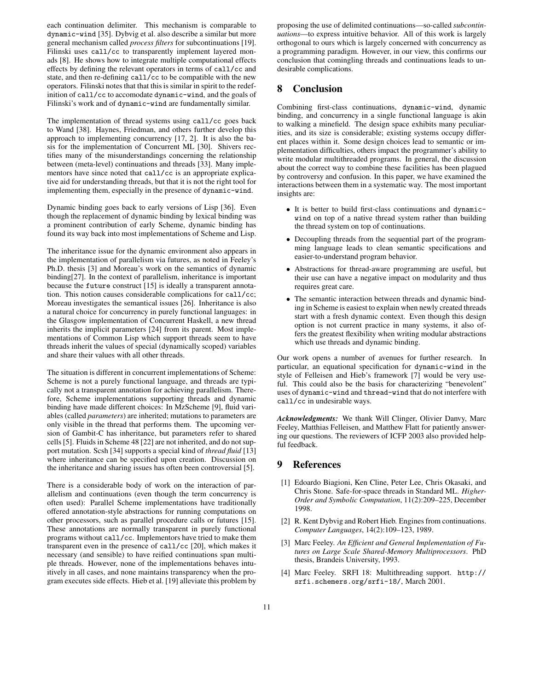each continuation delimiter. This mechanism is comparable to dynamic-wind [35]. Dybvig et al. also describe a similar but more general mechanism called *process filters* for subcontinuations [19]. Filinski uses call/cc to transparently implement layered monads [8]. He shows how to integrate multiple computational effects effects by defining the relevant operators in terms of call/cc and state, and then re-defining call/cc to be compatible with the new operators. Filinski notes that that this is similar in spirit to the redefinition of call/cc to accomodate dynamic-wind, and the goals of Filinski's work and of dynamic-wind are fundamentally similar.

The implementation of thread systems using call/cc goes back to Wand [38]. Haynes, Friedman, and others further develop this approach to implementing concurrency [17, 2]. It is also the basis for the implementation of Concurrent ML [30]. Shivers rectifies many of the misunderstandings concerning the relationship between (meta-level) continuations and threads [33]. Many implementors have since noted that call/cc is an appropriate explicative aid for understanding threads, but that it is not the right tool for implementing them, especially in the presence of dynamic-wind.

Dynamic binding goes back to early versions of Lisp [36]. Even though the replacement of dynamic binding by lexical binding was a prominent contribution of early Scheme, dynamic binding has found its way back into most implementations of Scheme and Lisp.

The inheritance issue for the dynamic environment also appears in the implementation of parallelism via futures, as noted in Feeley's Ph.D. thesis [3] and Moreau's work on the semantics of dynamic binding[27]. In the context of parallelism, inheritance is important because the future construct [15] is ideally a transparent annotation. This notion causes considerable complications for call/cc; Moreau investigates the semantical issues [26]. Inheritance is also a natural choice for concurrency in purely functional languages: in the Glasgow implementation of Concurrent Haskell, a new thread inherits the implicit parameters [24] from its parent. Most implementations of Common Lisp which support threads seem to have threads inherit the values of special (dynamically scoped) variables and share their values with all other threads.

The situation is different in concurrent implementations of Scheme: Scheme is not a purely functional language, and threads are typically not a transparent annotation for achieving parallelism. Therefore, Scheme implementations supporting threads and dynamic binding have made different choices: In MzScheme [9], fluid variables (called *parameters*) are inherited; mutations to parameters are only visible in the thread that performs them. The upcoming version of Gambit-C has inheritance, but parameters refer to shared cells [5]. Fluidsin Scheme 48 [22] are not inherited, and do not support mutation. Scsh [34] supports a special kind of *thread fluid* [13] where inheritance can be specified upon creation. Discussion on the inheritance and sharing issues has often been controversial [5].

There is a considerable body of work on the interaction of parallelism and continuations (even though the term concurrency is often used): Parallel Scheme implementations have traditionally offered annotation-style abstractions for running computations on other processors, such as parallel procedure calls or futures [15]. These annotations are normally transparent in purely functional programs without call/cc. Implementors have tried to make them transparent even in the presence of call/cc [20], which makes it necessary (and sensible) to have reified continuations span multiple threads. However, none of the implementations behaves intuitively in all cases, and none maintains transparency when the program executes side effects. Hieb et al. [19] alleviate this problem by proposing the use of delimited continuations—so-called *subcontinuations*—to express intuitive behavior. All of this work is largely orthogonal to ours which is largely concerned with concurrency as a programming paradigm. However, in our view, this confirms our conclusion that comingling threads and continuations leads to undesirable complications.

### **8 Conclusion**

Combining first-class continuations, dynamic-wind, dynamic binding, and concurrency in a single functional language is akin to walking a minefield. The design space exhibits many peculiarities, and its size is considerable; existing systems occupy different places within it. Some design choices lead to semantic or implementation difficulties, others impact the programmer's ability to write modular multithreaded programs. In general, the discussion about the correct way to combine these facilities has been plagued by controversy and confusion. In this paper, we have examined the interactions between them in a systematic way. The most important insights are:

- It is better to build first-class continuations and dynamicwind on top of a native thread system rather than building the thread system on top of continuations.
- Decoupling threads from the sequential part of the programming language leads to clean semantic specifications and easier-to-understand program behavior.
- Abstractions for thread-aware programming are useful, but their use can have a negative impact on modularity and thus requires great care.
- The semantic interaction between threads and dynamic binding in Scheme is easiest to explain when newly created threads start with a fresh dynamic context. Even though this design option is not current practice in many systems, it also offers the greatest flexibility when writing modular abstractions which use threads and dynamic binding.

Our work opens a number of avenues for further research. In particular, an equational specification for dynamic-wind in the style of Felleisen and Hieb's framework [7] would be very useful. This could also be the basis for characterizing "benevolent" uses of dynamic-wind and thread-wind that do not interfere with call/cc in undesirable ways.

*Acknowledgments:* We thank Will Clinger, Olivier Danvy, Marc Feeley, Matthias Felleisen, and Matthew Flatt for patiently answering our questions. The reviewers of ICFP 2003 also provided helpful feedback.

# **9 References**

- [1] Edoardo Biagioni, Ken Cline, Peter Lee, Chris Okasaki, and Chris Stone. Safe-for-space threads in Standard ML. *Higher-Order and Symbolic Computation*, 11(2):209–225, December 1998.
- [2] R. Kent Dybvig and Robert Hieb. Engines from continuations. *Computer Languages*, 14(2):109–123, 1989.
- [3] Marc Feeley. *An Efficient and General Implementation of Futures on Large Scale Shared-Memory Multiprocessors*. PhD thesis, Brandeis University, 1993.
- [4] Marc Feeley. SRFI 18: Multithreading support. http:// srfi.schemers.org/srfi-18/, March 2001.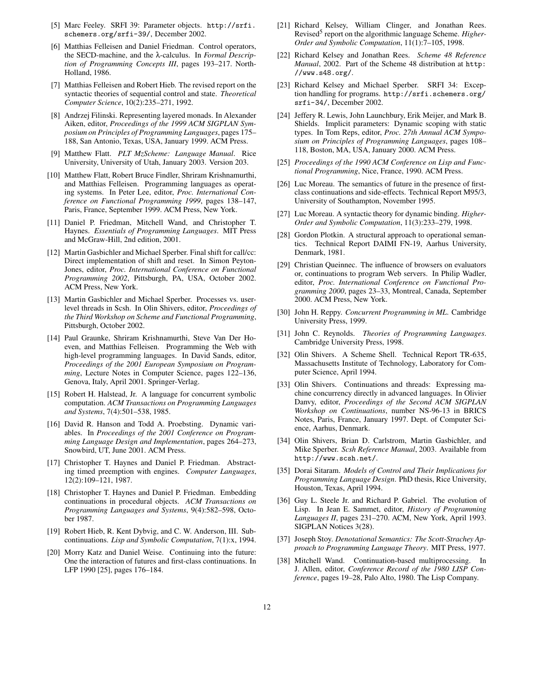- [5] Marc Feeley. SRFI 39: Parameter objects. http://srfi. schemers.org/srfi-39/, December 2002.
- [6] Matthias Felleisen and Daniel Friedman. Control operators, the SECD-machine, and the λ-calculus. In *Formal Description of Programming Concepts III*, pages 193–217. North-Holland, 1986.
- [7] Matthias Felleisen and Robert Hieb. The revised report on the syntactic theories of sequential control and state. *Theoretical Computer Science*, 10(2):235–271, 1992.
- [8] Andrzej Filinski. Representing layered monads. In Alexander Aiken, editor, *Proceedings of the 1999 ACM SIGPLAN Symposium on Principles of Programming Languages*, pages 175– 188, San Antonio, Texas, USA, January 1999. ACM Press.
- [9] Matthew Flatt. *PLT MzScheme: Language Manual*. Rice University, University of Utah, January 2003. Version 203.
- [10] Matthew Flatt, Robert Bruce Findler, Shriram Krishnamurthi, and Matthias Felleisen. Programming languages as operating systems. In Peter Lee, editor, *Proc. International Conference on Functional Programming 1999*, pages 138–147, Paris, France, September 1999. ACM Press, New York.
- [11] Daniel P. Friedman, Mitchell Wand, and Christopher T. Haynes. *Essentials of Programming Languages*. MIT Press and McGraw-Hill, 2nd edition, 2001.
- [12] Martin Gasbichler and Michael Sperber. Final shift for call/cc: Direct implementation of shift and reset. In Simon Peyton-Jones, editor, *Proc. International Conference on Functional Programming 2002*, Pittsburgh, PA, USA, October 2002. ACM Press, New York.
- [13] Martin Gasbichler and Michael Sperber. Processes vs. userlevel threads in Scsh. In Olin Shivers, editor, *Proceedings of the Third Workshop on Scheme and Functional Programming*, Pittsburgh, October 2002.
- [14] Paul Graunke, Shriram Krishnamurthi, Steve Van Der Hoeven, and Matthias Felleisen. Programming the Web with high-level programming languages. In David Sands, editor, *Proceedings of the 2001 European Symposium on Programming*, Lecture Notes in Computer Science, pages 122–136, Genova, Italy, April 2001. Springer-Verlag.
- [15] Robert H. Halstead, Jr. A language for concurrent symbolic computation. *ACM Transactions on Programming Languages and Systems*, 7(4):501–538, 1985.
- [16] David R. Hanson and Todd A. Proebsting. Dynamic variables. In *Proceedings of the 2001 Conference on Programming Language Design and Implementation*, pages 264–273, Snowbird, UT, June 2001. ACM Press.
- [17] Christopher T. Haynes and Daniel P. Friedman. Abstracting timed preemption with engines. *Computer Languages*, 12(2):109–121, 1987.
- [18] Christopher T. Haynes and Daniel P. Friedman. Embedding continuations in procedural objects. *ACM Transactions on Programming Languages and Systems*, 9(4):582–598, October 1987.
- [19] Robert Hieb, R. Kent Dybvig, and C. W. Anderson, III. Subcontinuations. *Lisp and Symbolic Computation*, 7(1):x, 1994.
- [20] Morry Katz and Daniel Weise. Continuing into the future: One the interaction of futures and first-class continuations. In LFP 1990 [25], pages 176–184.
- [21] Richard Kelsey, William Clinger, and Jonathan Rees. Revised<sup>5</sup> report on the algorithmic language Scheme. *Higher-Order and Symbolic Computation*, 11(1):7–105, 1998.
- [22] Richard Kelsey and Jonathan Rees. *Scheme 48 Reference Manual*, 2002. Part of the Scheme 48 distribution at http: //www.s48.org/.
- [23] Richard Kelsey and Michael Sperber. SRFI 34: Exception handling for programs. http://srfi.schemers.org/ srfi-34/, December 2002.
- [24] Jeffery R. Lewis, John Launchbury, Erik Meijer, and Mark B. Shields. Implicit parameters: Dynamic scoping with static types. In Tom Reps, editor, *Proc. 27th Annual ACM Symposium on Principles of Programming Languages*, pages 108– 118, Boston, MA, USA, January 2000. ACM Press.
- [25] *Proceedings of the 1990 ACM Conference on Lisp and Functional Programming*, Nice, France, 1990. ACM Press.
- [26] Luc Moreau. The semantics of future in the presence of firstclass continuations and side-effects. Technical Report M95/3, University of Southampton, November 1995.
- [27] Luc Moreau. A syntactic theory for dynamic binding. *Higher-Order and Symbolic Computation*, 11(3):233–279, 1998.
- [28] Gordon Plotkin. A structural approach to operational semantics. Technical Report DAIMI FN-19, Aarhus University, Denmark, 1981.
- [29] Christian Queinnec. The influence of browsers on evaluators or, continuations to program Web servers. In Philip Wadler, editor, *Proc. International Conference on Functional Programming 2000*, pages 23–33, Montreal, Canada, September 2000. ACM Press, New York.
- [30] John H. Reppy. *Concurrent Programming in ML*. Cambridge University Press, 1999.
- [31] John C. Reynolds. *Theories of Programming Languages*. Cambridge University Press, 1998.
- [32] Olin Shivers. A Scheme Shell. Technical Report TR-635, Massachusetts Institute of Technology, Laboratory for Computer Science, April 1994.
- [33] Olin Shivers. Continuations and threads: Expressing machine concurrency directly in advanced languages. In Olivier Danvy, editor, *Proceedings of the Second ACM SIGPLAN Workshop on Continuations*, number NS-96-13 in BRICS Notes, Paris, France, January 1997. Dept. of Computer Science, Aarhus, Denmark.
- [34] Olin Shivers, Brian D. Carlstrom, Martin Gasbichler, and Mike Sperber. *Scsh Reference Manual*, 2003. Available from http://www.scsh.net/.
- [35] Dorai Sitaram. *Models of Control and Their Implications for Programming Language Design*. PhD thesis, Rice University, Houston, Texas, April 1994.
- [36] Guy L. Steele Jr. and Richard P. Gabriel. The evolution of Lisp. In Jean E. Sammet, editor, *History of Programming Languages II*, pages 231–270. ACM, New York, April 1993. SIGPLAN Notices 3(28).
- [37] Joseph Stoy. *Denotational Semantics: The Scott-Strachey Approach to Programming Language Theory*. MIT Press, 1977.
- [38] Mitchell Wand. Continuation-based multiprocessing. In J. Allen, editor, *Conference Record of the 1980 LISP Conference*, pages 19–28, Palo Alto, 1980. The Lisp Company.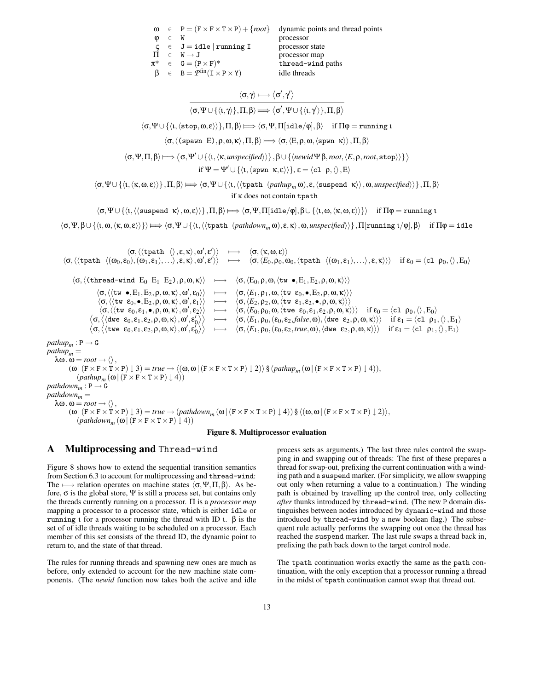|                       |         |                                                               | $\omega \in P = (F \times F \times T \times P) + \{root\}$ dynamic points and thread points |
|-----------------------|---------|---------------------------------------------------------------|---------------------------------------------------------------------------------------------|
| $\boldsymbol{\omega}$ | $\in$ W |                                                               | processor                                                                                   |
|                       |         | $\zeta \in J = idle   \text{running I}$                       | processor state                                                                             |
|                       |         | $\Pi \in W \rightarrow J$                                     | processor map                                                                               |
|                       |         | $\pi^* \in G = (P \times F)^*$                                | thread-wind paths                                                                           |
|                       |         | $\beta \in B = \mathcal{P}^{\text{fin}}(I \times P \times Y)$ | idle threads                                                                                |

$$
\dfrac{\langle \sigma, \gamma \rangle \longmapsto \langle \sigma', \gamma' \rangle}{\langle \sigma, \Psi \cup \{\langle \iota, \gamma \rangle\}, \Pi, \beta \rangle \longmapsto \langle \sigma', \Psi \cup \{\langle \iota, \gamma' \rangle\}, \Pi, \beta \rangle}
$$

 $\langle \sigma, \Psi \cup {\langle \iota, \langle \text{stop}, \omega, \varepsilon \rangle \rangle}, \Pi, \beta \rangle \Longrightarrow \langle \sigma, \Psi, \Pi[\text{idle}/\phi], \beta \rangle \text{ if } \Pi \phi = \text{running } \iota$ 

 $\langle \sigma, \langle \text{(spawn E)}, \rho, \omega, \kappa \rangle, \Pi, \beta \rangle \Longrightarrow \langle \sigma, \langle E, \rho, \omega, \langle \text{spwn } \kappa \rangle \rangle, \Pi, \beta \rangle$ 

$$
\langle \sigma, \Psi, \Pi, \beta \rangle \longmapsto \langle \sigma, \Psi' \cup \{\langle \iota, \langle \kappa, \text{unspecified} \rangle \rangle\}, \beta \cup \{\langle \text{newid}\Psi \beta, \text{root}, \langle \mathit{E}, \rho, \text{root}, \text{stop} \rangle \} \} \rangle
$$

$$
\text{if }\Psi=\Psi'\cup\{\langle\iota,\langle\mathtt{spwn}\;\;\kappa,\epsilon\rangle\rangle\},\,\epsilon=\langle\mathtt{cl}\;\;\rho,\langle\rangle\,,E\rangle
$$

 $\langle \sigma, \Psi \cup \{\langle \iota, \langle \kappa, \omega, \varepsilon \rangle \rangle\}, \Pi, \beta \rangle \Longrightarrow \langle \sigma, \Psi \cup \{\langle \iota, \langle \langle \text{tpath } (pathup_m \omega), \varepsilon, \langle \text{suspended } \kappa \rangle \rangle, \omega, \text{unspecified} \rangle\} \}, \Pi, \beta \rangle$ if κ does not contain tpath

 $\langle \sigma, \Psi \cup \{ \langle \psi, \psi \rangle, \phi \rangle \}$ , Π, β)  $\Longrightarrow$   $\langle \sigma, \Psi, \Pi | \text{idle} \rangle \phi |$ , β $\cup \{ \langle \psi, \omega, \langle \kappa, \omega, \epsilon \rangle \} \rangle$  if  $\Pi \phi = \text{running } \psi$ 

 $\langle \sigma, \Psi, \beta \cup \{\langle \iota, \omega, \langle \kappa, \omega, \varepsilon \rangle \} \rangle \Longrightarrow \langle \sigma, \Psi \cup \{\langle \iota, \langle \langle \text{tpath } (pathdown_m \omega), \varepsilon, \kappa \rangle, \omega, \text{unspecified} \rangle \} \rangle, \Pi[\text{running } \iota / \phi], \beta \rangle$ if  $\Pi \phi = \text{idle}$ 

 $\langle \sigma, \langle \langle \texttt{tpath} \rangle, \varepsilon, \kappa \rangle, \omega', \varepsilon' \rangle \rangle \longrightarrow \langle \sigma, \langle \kappa, \omega, \varepsilon \rangle \rangle$  $\langle \sigma, \langle \langle \texttt{tpath} \rangle \langle \omega_0, \varepsilon_0), (\omega_1, \varepsilon_1), \ldots \rangle, \varepsilon, \kappa \rangle, \omega', \varepsilon' \rangle \rangle \quad \longmapsto \quad \langle \sigma, \langle E_0, \rho_0, \omega_0, \langle \texttt{tpath} \rangle \langle \omega_1, \varepsilon_1), \ldots \rangle, \varepsilon, \kappa \rangle \rangle \rangle \quad \text{if } \varepsilon_0 = \langle \texttt{cl} \rangle \rho_0, \langle \rangle, E_0 \rangle$  $\langle \sigma, \langle \text{thread-vind } E_0 E_1 E_2 \rangle, \rho, \omega, \kappa \rangle \rangle \rightarrow \langle \sigma, \langle E_0, \rho, \omega, \langle tw \bullet, E_1, E_2, \rho, \omega, \kappa \rangle \rangle \rangle$  $\langle \sigma,\langle \langle \texttt{tw } \bullet, E_1, E_2, \rho, \omega, \kappa \rangle, \omega', \epsilon_0 \rangle \rangle \quad \longmapsto \quad \langle \sigma, \langle E_1, \rho_1, \omega, \langle \texttt{tw } \epsilon_0, \bullet, E_2, \rho, \omega, \kappa \rangle \rangle \rangle$  $\langle \sigma,\langle \langle \texttt{tw } \varepsilon_0, \bullet, \texttt{E}_2, \rho, \omega, \kappa \rangle, \omega'$  $\longmapsto \langle \sigma, \langle E_2, \rho_2, \omega, \langle \text{tw } ε_1, ε_2, \bullet, \rho, \omega, \kappa \rangle \rangle$  $\langle \sigma, \langle \langle \texttt{tw } \varepsilon_0, \varepsilon_1, \bullet, \rho, \omega, \kappa \rangle, \omega'$  $\rightarrow \langle \sigma, \langle E_0, \rho_0, \omega, \langle \text{true } \varepsilon_0, \varepsilon_1, \varepsilon_2, \rho, \omega, \kappa \rangle \rangle \rangle$  if  $\varepsilon_0 = \langle c_1 \rho_0, \langle \rangle, E_0 \rangle$  $\langle \sigma, \langle \langle \text{dwe } \varepsilon_0, \varepsilon_1, \varepsilon_2, \rho, \omega, \kappa \rangle, \omega', \varepsilon_0' \rangle \rangle \quad \longmapsto \quad \langle \sigma, \langle E_1, \rho_0, (\varepsilon_0, \varepsilon_2, \text{false}, \omega), \langle \text{dwe } \varepsilon_2, \rho, \omega, \kappa \rangle \rangle \rangle \quad \text{if } \varepsilon_1 = \langle \text{cl } \rho_1, \langle \rangle, E_1 \rangle$  $\langle \sigma, \langle$ (twe  $\varepsilon_0, \varepsilon_1, \varepsilon_2, \rho, \omega, \kappa \rangle, \omega', \varepsilon_0' \rangle \rangle \quad \longmapsto \quad \langle \sigma, \langle E_1, \rho_0, (\varepsilon_0, \varepsilon_2, \text{true}, \omega), \langle \text{dwe } \varepsilon_2, \rho, \omega, \kappa \rangle \rangle \rangle \quad \text{if } \varepsilon_1 = \langle \texttt{cl} \; \rho_1, \langle \rangle, E_1 \rangle$  $pathup_m : P \rightarrow G$  $pathup_m =$  $\lambda \omega \cdot \omega = root \rightarrow \langle \rangle$ ,  $(\omega | (F \times F \times T \times P) \downarrow 3) = true \rightarrow \langle (\omega, \omega | (F \times F \times T \times P) \downarrow 2) \rangle \$   $(pathup_m(\omega | (F \times F \times T \times P) \downarrow 4)),$  $(\text{pathup}_m(\omega \mid (F \times F \times T \times P) \downarrow 4))$  $pathdown_m : P \rightarrow G$  $pathdown_m =$  $\lambda \omega \cdot \omega = root \rightarrow \langle \rangle$ ,  $(\omega | (F \times F \times T \times P) \downarrow 3) = true \rightarrow (pathdown_m (\omega | (F \times F \times T \times P) \downarrow 4)) \$   $(\omega, \omega | (F \times F \times T \times P) \downarrow 2)$ ,  $(pathdown_m(\omega | (F \times F \times T \times P) \downarrow 4))$ 



### **A Multiprocessing and** Thread-wind

Figure 8 shows how to extend the sequential transition semantics from Section 6.3 to account for multiprocessing and thread-wind: The  $\longmapsto$  relation operates on machine states  $\langle \sigma, \Psi, \Pi, \beta \rangle$ . As before,  $\sigma$  is the global store,  $\Psi$  is still a process set, but contains only the threads currently running on a processor. Π is a *processor map* mapping a processor to a processor state, which is either idle or running *ι* for a processor running the thread with ID *ι*.  $\beta$  is the set of of idle threads waiting to be scheduled on a processor. Each member of this set consists of the thread ID, the dynamic point to return to, and the state of that thread.

The rules for running threads and spawning new ones are much as before, only extended to account for the new machine state components. (The *newid* function now takes both the active and idle process sets as arguments.) The last three rules control the swapping in and swapping out of threads: The first of these prepares a thread for swap-out, prefixing the current continuation with a winding path and a suspend marker. (For simplicity, we allow swapping out only when returning a value to a continuation.) The winding path is obtained by travelling up the control tree, only collecting *after* thunks introduced by thread-wind. (The new P domain distinguishes between nodes introduced by dynamic-wind and those introduced by thread-wind by a new boolean flag.) The subsequent rule actually performs the swapping out once the thread has reached the suspend marker. The last rule swaps a thread back in, prefixing the path back down to the target control node.

The tpath continuation works exactly the same as the path continuation, with the only exception that a processor running a thread in the midst of tpath continuation cannot swap that thread out.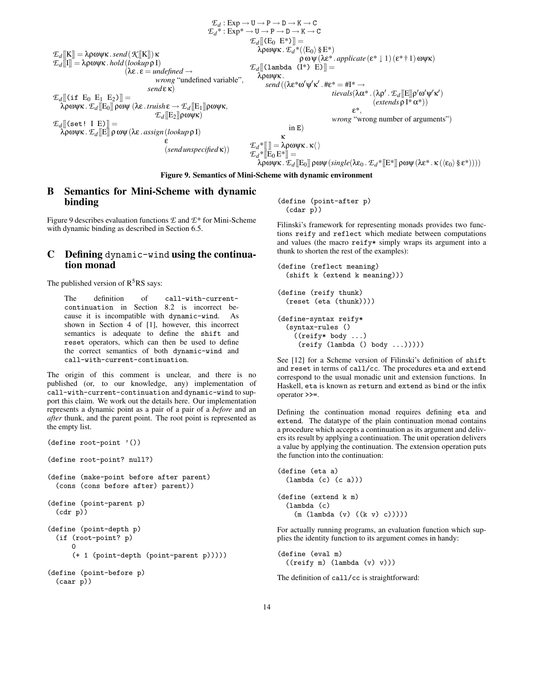$$
\mathcal{E}_d : Exp \rightarrow U \rightarrow P \rightarrow D \rightarrow K \rightarrow C
$$
\n
$$
\mathcal{E}_d^* : Exp^* \rightarrow U \rightarrow P \rightarrow D \rightarrow K \rightarrow C
$$
\n
$$
\mathcal{E}_d^* : Exp^* \rightarrow U \rightarrow P \rightarrow D \rightarrow K \rightarrow C
$$
\n
$$
\mathcal{E}_d^* : Exp^* \rightarrow U \rightarrow P \rightarrow D \rightarrow K \rightarrow C
$$
\n
$$
\mathcal{E}_d^* ([E_0 E^*)] =
$$
\n
$$
\mathcal{E}_d^* ([E_0 E^*)]
$$
\n
$$
\mathcal{E}_d^* ([E_0 E^*)]
$$
\n
$$
\mathcal{E}_d^* ([E_0 E^*)]
$$
\n
$$
\mathcal{E}_d^* ([E_0 E^*)]
$$
\n
$$
\mathcal{E}_d^* ([E_0 E^*)]
$$
\n
$$
\mathcal{E}_d^* ([E_0 E^*)]
$$
\n
$$
\mathcal{E}_d^* ([E_0 E^*)]
$$
\n
$$
\mathcal{E}_d^* ([E_0 E^*)]
$$
\n
$$
\mathcal{E}_d^* ([E_0 E^*)]
$$
\n
$$
\mathcal{E}_d^* ([E_0 E^*)]
$$
\n
$$
\mathcal{E}_d^* ([E_0 E^*)]
$$
\n
$$
\mathcal{E}_d^* ([E_0 E^*)]
$$
\n
$$
\mathcal{E}_d^* ([E_0 E^*)]
$$
\n
$$
\mathcal{E}_d^* ([E_0 E^*)]
$$
\n
$$
\mathcal{E}_d^* ([E_0 E^*)]
$$
\n
$$
\mathcal{E}_d^* ([E_0 E^*)]
$$
\n
$$
\mathcal{E}_d^* ([E_0 E^*)]
$$
\n
$$
\mathcal{E}_d^* ([E_0 E^*)]
$$
\n
$$
\mathcal{E}_d^* ([E_0 E^*)]
$$
\n
$$
\mathcal{E}_d^* ([E_0 E^*)]
$$
\n
$$
\mathcal{E}_d^* ([E_0 E^*)]
$$
\n
$$
\mathcal{E}_d^* ([E_0 E^*)]
$$
\n
$$
\mathcal{E}_d^* ([E_0 E^*)]
$$
\n
$$
\mathcal{E}_d^* ([E_0 E
$$

**Figure 9. Semantics of Mini-Scheme with dynamic environment**

# **B Semantics for Mini-Scheme with dynamic binding**

Figure 9 describes evaluation functions *E* and *E*\* for Mini-Scheme with dynamic binding as described in Section 6.5.

# **C Defining** dynamic-wind **using the continuation monad**

The published version of  $R<sup>5</sup>RS$  says:

The definition of call-with-currentcontinuation in Section 8.2 is incorrect because it is incompatible with dynamic-wind. As shown in Section 4 of [1], however, this incorrect semantics is adequate to define the shift and reset operators, which can then be used to define the correct semantics of both dynamic-wind and call-with-current-continuation.

The origin of this comment is unclear, and there is no published (or, to our knowledge, any) implementation of call-with-current-continuation and dynamic-wind to support this claim. We work out the details here. Our implementation represents a dynamic point as a pair of a pair of a *before* and an *after* thunk, and the parent point. The root point is represented as the empty list.

```
(define root-point '())
(define root-point? null?)
(define (make-point before after parent)
 (cons (cons before after) parent))
(define (point-parent p)
 (cdr p))
(define (point-depth p)
  (if (root-point? p)
      \Omega(+ 1 (point-depth (point-parent p)))))
(define (point-before p)
 (caar p))
```
(define (point-after p) (cdar p))

Filinski's framework for representing monads provides two functions reify and reflect which mediate between computations and values (the macro reify\* simply wraps its argument into a thunk to shorten the rest of the examples):

```
(define (reflect meaning)
  (shift k (extend k meaning)))
```

```
(define (reify thunk)
  (reset (eta (thunk))))
(define-syntax reify*
  (syntax-rules ()
    ((reify* body ...)
     (reify (lambda () body ...)))))
```
See [12] for a Scheme version of Filinski's definition of shift and reset in terms of call/cc. The procedures eta and extend correspond to the usual monadic unit and extension functions. In Haskell, eta is known as return and extend as bind or the infix operator >>=.

Defining the continuation monad requires defining eta and extend. The datatype of the plain continuation monad contains a procedure which accepts a continuation as its argument and delivers its result by applying a continuation. The unit operation delivers a value by applying the continuation. The extension operation puts the function into the continuation:

```
(define (eta a)
  (lambda (c) (c a)))
(define (extend k m)
  (lambda (c)
    (m (lambda (v) ((k v) c)))))
```
For actually running programs, an evaluation function which supplies the identity function to its argument comes in handy:

(define (eval m) ((reify m) (lambda (v) v)))

The definition of call/cc is straightforward: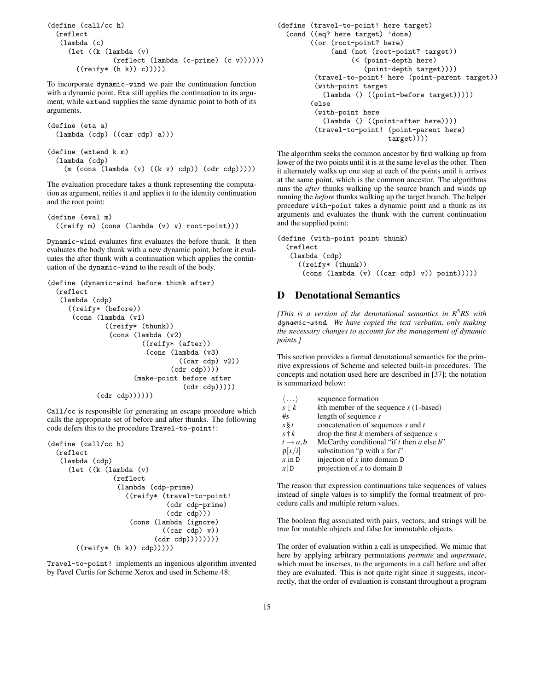```
(define (call/cc h)
 (reflect
   (lambda (c)
     (let ((k (lambda (v)
                (reflect (lambda (c-prime) (c v))))))
       ((reify*(h k)) c))))
```
To incorporate dynamic-wind we pair the continuation function with a dynamic point. Eta still applies the continuation to its argument, while extend supplies the same dynamic point to both of its arguments.

```
(define (eta a)
 (lambda (cdp) ((car cdp) a)))
(define (extend k m)
 (lambda (cdp)
    (m (cons (lambda (v) ((k v) cdp)) (cdr cdp)))))
```
The evaluation procedure takes a thunk representing the computation as argument, reifies it and applies it to the identity continuation and the root point:

```
(define (eval m)
 ((reify m) (cons (lambda (v) v) root-point)))
```
Dynamic-wind evaluates first evaluates the before thunk. It then evaluates the body thunk with a new dynamic point, before it evaluates the after thunk with a continuation which applies the continuation of the dynamic-wind to the result of the body.

```
(define (dynamic-wind before thunk after)
  (reflect
   (lambda (cdp)
     ((reify* (before))
      (cons (lambda (v1)
              ((reify* (thunk))
               (cons (lambda (v2)
                        ((reify* (after))
                         (cons (lambda (v3)
                                  ((car cdp) v2))
                                (cdr cdp))))
                      (make-point before after
                                   (cdr cdp)))))
            (cdr \cdot cdp)))))
```
Call/cc is responsible for generating an escape procedure which calls the appropriate set of before and after thunks. The following code defers this to the procedure Travel-to-point!:

```
(define (call/cc h)
 (reflect
   (lambda (cdp)
     (let ((k (lambda (v)
                (reflect
                 (lambda (cdp-prime)
                   ((reify* (travel-to-point!
                              (cdr cdp-prime)
                              (cdr cdp)))
                    (cons (lambda (ignore)
                             ((car cdp) v))(cdr cdp))))))))
       ((reify* (h k)) (dp))))
```
Travel-to-point! implements an ingenious algorithm invented by Pavel Curtis for Scheme Xerox and used in Scheme 48:

```
(define (travel-to-point! here target)
  (cond ((eq? here target) 'done)
        ((or (root-point? here)
             (and (not (root-point? target))
                  (< (point-depth here)
                      (point-depth target))))
         (travel-to-point! here (point-parent target))
         (with-point target
           (lambda () ((point-before target)))))
        (else
         (with-point here
           (lambda () ((point-after here))))
         (travel-to-point! (point-parent here)
                           target))))
```
The algorithm seeks the common ancestor by first walking up from lower of the two points until it is at the same level as the other. Then it alternately walks up one step at each of the points until it arrives at the same point, which is the common ancestor. The algorithms runs the *after* thunks walking up the source branch and winds up running the *before* thunks walking up the target branch. The helper procedure with-point takes a dynamic point and a thunk as its arguments and evaluates the thunk with the current continuation and the supplied point:

```
(define (with-point point thunk)
  (reflect
   (lambda (cdp)
     ((reify* (thunk))
      (cons (lambda (v) ((car cdp) v)) point)))))
```
# **D Denotational Semantics**

*[This is a version of the denotational semantics in R* <sup>5</sup>*RS with* dynamic-wind*. We have copied the text verbatim, only making the necessary changes to account for the management of dynamic points.]*

This section provides a formal denotational semantics for the primitive expressions of Scheme and selected built-in procedures. The concepts and notation used here are described in [37]; the notation is summarized below:

| $\langle \dots \rangle$ | sequence formation                             |
|-------------------------|------------------------------------------------|
| $s \downarrow k$        | $k$ th member of the sequence $s$ (1-based)    |
| #s                      | length of sequence $s$                         |
| $s \S t$                | concatenation of sequences s and t             |
| $s \dagger k$           | drop the first $k$ members of sequence $s$     |
| $t \rightarrow a, b$    | McCarthy conditional "if t then $a$ else $b$ " |
| $\rho$ [x/i]            | substitution " $\rho$ with x for i"            |
| $x$ in D                | injection of $x$ into domain $D$               |
| x D                     | projection of $x$ to domain $D$                |

The reason that expression continuations take sequences of values instead of single values is to simplify the formal treatment of procedure calls and multiple return values.

The boolean flag associated with pairs, vectors, and strings will be true for mutable objects and false for immutable objects.

The order of evaluation within a call is unspecified. We mimic that here by applying arbitrary permutations *permute* and *unpermute*, which must be inverses, to the arguments in a call before and after they are evaluated. This is not quite right since it suggests, incorrectly, that the order of evaluation is constant throughout a program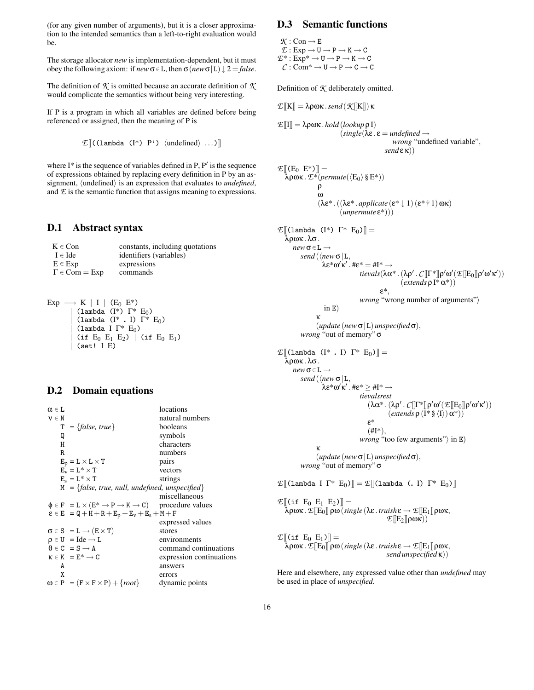(for any given number of arguments), but it is a closer approximation to the intended semantics than a left-to-right evaluation would be.

The storage allocator *new* is implementation-dependent, but it must obey the following axiom: if  $new \sigma \in L$ , then  $\sigma(new \sigma | L) \downarrow 2 = false$ .

The definition of *K* is omitted because an accurate definition of *K* would complicate the semantics without being very interesting.

If P is a program in which all variables are defined before being referenced or assigned, then the meaning of P is

$$
\mathcal{E}[\!\![(\text{lambda} (I^*) P') \text{ (undefined} \text{ ) } ... ]\!\!]
$$

where  $I^*$  is the sequence of variables defined in P,  $P'$  is the sequence of expressions obtained by replacing every definition in P by an assignment,  $\langle$ undefined $\rangle$  is an expression that evaluates to *undefined*, and  $E$  is the semantic function that assigns meaning to expressions.

### **D.1 Abstract syntax**

| $K \in Con$                          | constants, including quotations |
|--------------------------------------|---------------------------------|
| $I \in \text{Ide}$                   | identifiers (variables)         |
| $E \in Exp$                          | expressions                     |
| $\Gamma \in \text{Com} = \text{Exp}$ | commands                        |
|                                      |                                 |

Exp  $\longrightarrow$  K | I | (E<sub>0</sub> E<sup>\*</sup>) | (lambda  $(I^*)$   $\Gamma^*$  E<sub>0</sub>) | (lambda (I\* **.** I) Γ\* E0) (lambda I  $\Gamma^*$  E<sub>0</sub>) (if  $E_0$   $E_1$   $E_2$ ) | (if  $E_0$   $E_1$ ) | (set! I E)

### **D.2 Domain equations**

| $\alpha \in I$ .                                  | locations                                                                                |
|---------------------------------------------------|------------------------------------------------------------------------------------------|
| $v \in N$                                         | natural numbers                                                                          |
| $T = \{false, true\}$                             | booleans                                                                                 |
| Q                                                 | symbols                                                                                  |
| Н                                                 | characters                                                                               |
| R.                                                | numbers                                                                                  |
| $E_p = L \times L \times T$                       | pairs                                                                                    |
| $E_v = L^* \times T$                              | vectors                                                                                  |
| $E_s = L^* \times T$                              | strings                                                                                  |
|                                                   | $M = \{false, true, null, undefined, unspecified\}$                                      |
|                                                   | miscellaneous                                                                            |
|                                                   | $\phi \in F = L \times (E^* \rightarrow P \rightarrow K \rightarrow C)$ procedure values |
|                                                   | $\epsilon \in E = Q + H + R + E_p + E_v + E_s + M + F$                                   |
|                                                   | expressed values                                                                         |
| $\sigma \in S = L \rightarrow (E \times T)$       | stores                                                                                   |
| $\rho \in U = I$ de $\rightarrow L$               | environments                                                                             |
| $\theta \in C = S \rightarrow A$                  | command continuations                                                                    |
| $\kappa \in K = E^* \longrightarrow C$            | expression continuations                                                                 |
| A                                                 | answers                                                                                  |
| X                                                 | errors                                                                                   |
| $\omega \in P = (F \times F \times P) + \{root\}$ | dynamic points                                                                           |
|                                                   |                                                                                          |

# **D.3 Semantic functions**

 $K:Con \rightarrow E$  $E: Exp \rightarrow U \rightarrow P \rightarrow K \rightarrow C$  $E^*: Exp^* \to U \to P \to K \to C$  $C: \mathbf{Com}^* \to \mathbf{U} \to \mathbf{P} \to \mathbf{C} \to \mathbf{C}$ 

*E* $[K]$  = λρωκ. *send* (*K* $[K]$ ) κ

Definition of *K* deliberately omitted.

$$
\mathcal{E}[[I]] = \lambda \rho \omega \kappa \cdot hold(\text{lookup } \rho I) \n(\text{single}(\lambda \varepsilon \cdot \varepsilon = \text{undefined} \rightarrow \text{wrong} \cdot \text{undefined} \cdot \text{variable}),
$$
\n
$$
\text{send} \varepsilon \kappa))
$$

$$
\mathcal{L}[[(E_0 \t E^*)]] =
$$
\n
$$
\lambda \rho \omega \kappa \cdot \mathcal{L}^* (permute(\langle E_0 \rangle \S E^*))
$$
\n
$$
\rho
$$
\n
$$
\omega
$$
\n
$$
(\lambda \varepsilon^* \cdot ((\lambda \varepsilon^* \cdot \text{applicate } (\varepsilon^* \downarrow 1) (\varepsilon^* \uparrow 1) \omega \kappa))
$$
\n
$$
(\text{unpermute } \varepsilon^*))
$$
\n
$$
\mathcal{L}[[(lambda (I^*) \t F^* E_0)]] =
$$
\n
$$
\lambda \rho \omega \kappa \cdot \lambda \sigma.
$$
\n
$$
new \sigma \in L \rightarrow \text{send}(\langle new \sigma | L, \lambda \varepsilon^* \omega' \kappa' \cdot t \varepsilon^* = \#I^* \rightarrow \text{tਿvals}(\lambda \alpha^* \cdot (\lambda \rho' \cdot \mathcal{L}[[\Gamma^*]] \rho' \omega'(\mathcal{L}[[E_0]] \rho' \omega' \kappa'))
$$
\n
$$
\varepsilon^* \cdot \text{wrong "wrong number of arguments"}
$$
\n
$$
\text{in } E)
$$
\n
$$
\kappa
$$
\n
$$
(\text{update }(\text{new } \sigma | L) \text{ unspecified } \sigma),
$$
\n
$$
\text{wrong "out of memory" } \sigma
$$

$$
\mathcal{L}[[\text{lambda } (1^* \cdot 1) 1^* E_0)] =
$$
\n
$$
\lambda \rho \omega \kappa \cdot \lambda \sigma.
$$
\n
$$
new \sigma \in L \rightarrow \text{send}(\langle new \sigma | L, \lambda \epsilon^* \omega' \kappa' \cdot \text{# } \epsilon^* \ge \text{# } I^* \rightarrow \text{tievals}{\text{# } \epsilon^* \omega' \kappa' \cdot \text{# } \epsilon^* \ge \text{# } I^* \rightarrow \text{tievals}{\text{# } \epsilon^* \omega' \kappa' \cdot (\lambda \rho' \cdot C[[\Gamma^*]] \rho' \omega' (\mathcal{L}[[E_0]] \rho' \omega' \kappa'))\n\qquad (\alpha \kappa^* \cdot (\lambda \rho' \cdot C[[\Gamma^*]] \rho' \omega' \kappa'))\n\qquad \epsilon^* \qquad (\text{# } I^*), \text{ wrong "too few arguments"}\n\text{ in } E)
$$
\n
$$
\kappa \qquad (\text{update } (\text{new } \sigma | L) \text{ unspecified } \sigma), \text{ wrong "out of memory" } \sigma
$$

 $\mathcal{L}[(\text{lambda I } \Gamma^* \ E_0)] = \mathcal{L}[(\text{lambda } \ \text{(I } \Gamma^* \ E_0)]]$ 

 $\mathcal{L}[(\text{if } E_0 \ E_1 \ E_2)] =$ λρωκ .*E*[[E0]] ρω(*single* (λε . *truish*ε → *E*[[E1]]ρωκ, *E*[[E<sub>2</sub>][ $\rho$ ωκ))

 $\mathcal{E}$ [[(if E<sub>0</sub> E<sub>1</sub>)]] =  $\lambda \rho \omega \kappa$ .  $\mathcal{E}[[E_0]] \rho \omega$  (*single* (λε . *truish* ε  $\rightarrow$   $\mathcal{E}[[E_1]] \rho \omega \kappa$ , *send unspecified* κ))

Here and elsewhere, any expressed value other than *undefined* may be used in place of *unspecified*.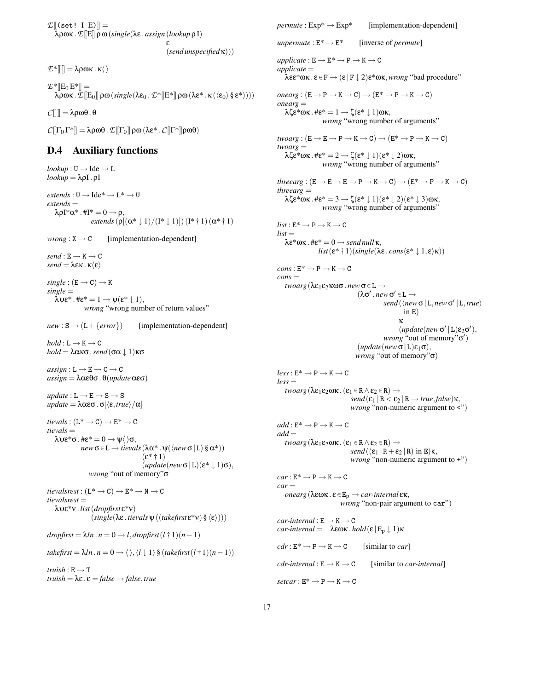$E[(set! \mid E)] =$ λρωκ .*E*[[E]] ρω(*single*(λε . *assign* (*lookup*ρ I) ε (*send unspecified*κ)))

 $E^*$ [[]] =  $\lambda \rho \omega \kappa \cdot \kappa \langle \rangle$  $E^*[[E_0 E^*]] =$  $\lambda \overline{\rho} \omega \kappa$ .  $\mathcal{E}[[E_0]] \rho \omega (\text{single}(\lambda \varepsilon_0) \mathcal{E}^*[[E^*]] \rho \omega (\lambda \varepsilon^* \cdot \kappa (\langle \varepsilon_0 \rangle \S \varepsilon^*))))$ 

 $C[\] = \lambda \rho \omega \theta \cdot \theta$ 

*C* $[\Gamma_0 \Gamma^*] = \lambda \rho \omega \theta$ . *E* $[\Gamma_0] \rho \omega (\lambda \varepsilon^* \cdot C [\Gamma^*]) \rho \omega \theta$ 

# **D.4 Auxiliary functions**

 $lookup: U \rightarrow Ide \rightarrow L$ *lookup* = λρI. ρI  $extends: U \longrightarrow Ide^* \longrightarrow L^* \longrightarrow U$ *extends* =  $\lambda \rho I^* \alpha^*$ . #I $^* = 0 \rightarrow \rho$ , *extends*  $(\rho[(\alpha^* \downarrow 1)/(\mathbf{I}^* \downarrow 1)]) (\mathbf{I}^* \uparrow 1)(\alpha^* \uparrow 1)$  $wrong : X \rightarrow C$  [implementation-dependent]  $send : E \rightarrow K \rightarrow C$ *send* =  $\lambda \varepsilon \kappa \cdot \kappa \langle \varepsilon \rangle$  $single : (E \rightarrow C) \rightarrow K$ *single* =  $\bar{\lambda} \Psi \epsilon^*$ .  $\#\epsilon^* = 1 \rightarrow \Psi(\epsilon^* \downarrow 1),$ *wrong* "wrong number of return values"  $new : S \rightarrow (L + \{error\})$  [implementation-dependent]  $hold: L \rightarrow K \rightarrow C$ *hold* =  $\lambda$ ακσ.*send* (σα  $\downarrow$  1)κσ  $assign: L \rightarrow E \rightarrow C \rightarrow C$ *assign* =  $\lambda \alpha \epsilon \theta \sigma \cdot \theta (update \alpha \epsilon \sigma)$  $update: L \rightarrow E \rightarrow S \rightarrow S$ *update* =  $λαεσ . σ[ $\langle ε, true \rangle / α$ ]$  $tievals : (L^* \rightarrow C) \rightarrow E^* \rightarrow C$ *tievals* =  $\lambda \Psi \varepsilon^* \sigma$ .  $\#\varepsilon^* = 0 \rightarrow \Psi \langle \, \rangle \sigma$ ,  $new \sigma \in L \rightarrow t \text{}evals (\lambda \alpha^* \cdot \psi(\langle new \sigma | L \rangle \S \alpha^*))$  $(\epsilon^*$  † 1)  $(\text{update}(new \sigma | L)(\varepsilon^* | 1) \sigma),$ *wrong* "out of memory"σ  $tievalsrest : (L^* \rightarrow C) \rightarrow E^* \rightarrow N \rightarrow C$ *tievalsrest* = λψε\*ν . *list*(*dropfirst* ε\*ν)  $(single(\lambda \varepsilon. \text{tivals } \psi ((\text{takefirst } \varepsilon^* \nu) \mathcal{S} \langle \varepsilon \rangle)))$  $d$ *ropfirst* =  $\lambda l n \cdot n = 0 \rightarrow l$ ,  $d$ *ropfirst*  $(l \dagger 1)(n-1)$  $takefirst = \lambda ln \cdot n = 0 \rightarrow \langle \rangle, \langle l \mid 1 \rangle$ §  $(takefirst(l+1)(n-1))$  $truish : E \rightarrow T$  $$ 

 *[implementation-dependent] unpermute* :  $E^* \rightarrow E^*$  [inverse of *permute*]  $applicate : E \rightarrow E^* \rightarrow P \rightarrow K \rightarrow C$ *applicate* = λεε\*ωκ . ε ∈F → (ε | F ↓ 2)ε\*ωκ,*wrong* "bad procedure"  $onearg : (E \rightarrow P \rightarrow K \rightarrow C) \rightarrow (E^* \rightarrow P \rightarrow K \rightarrow C)$ *onearg* =  $λ\zeta \varepsilon^* \omega \kappa$ .  $\# \varepsilon^* = 1 \rightarrow \zeta(\varepsilon^* \downarrow 1) \omega \kappa$ , *wrong* "wrong number of arguments"  $twoarg : (E \rightarrow E \rightarrow P \rightarrow K \rightarrow C) \rightarrow (E^* \rightarrow P \rightarrow K \rightarrow C)$ *twoarg* =  $\lambda \zeta \varepsilon^* \omega \kappa$ .  $\# \varepsilon^* = 2 \rightarrow \zeta (\varepsilon^* \downarrow 1)(\varepsilon^* \downarrow 2) \omega \kappa$ , *wrong* "wrong number of arguments"  $threearg : (E \rightarrow E \rightarrow E \rightarrow P \rightarrow K \rightarrow C) \rightarrow (E^* \rightarrow P \rightarrow K \rightarrow C)$ *threearg* = λζε\*ωκ . #ε\* = 3 → ζ(ε\* ↓ 1)(ε\* ↓ 2)(ε\* ↓ 3)ωκ, *wrong* "wrong number of arguments"  $list: E^* \longrightarrow P \longrightarrow K \longrightarrow C$  $list =$ λε\*ωκ . #ε\* = 0 → *send null*κ, *list*( $\epsilon^*$  † 1)(*single*( $\lambda \epsilon$ .*cons*( $\epsilon^* \downarrow 1, \epsilon$ ) $\kappa$ ))  $cons: E^* \to P \to K \to C$  $cons =$ *twoarg* (λε<sub>1</sub>ε<sub>2</sub>κωσ. *new* σ∈ L →  $(λσ' . new σ' ∈ L →$ *send* ( $\langle new \sigma | L, new \sigma' | L, true \rangle$ in E) κ  $(\text{update}(\textit{new} \, \sigma' \, | \, L) \epsilon_2 \sigma'),$ *wrong* "out of memory"σ')  $(\text{update}(new \sigma | L) \varepsilon_1 \sigma),$ *wrong* "out of memory"σ)  $less: E^* \rightarrow P \rightarrow K \rightarrow C$  $less =$ *twoarg* ( $\lambda \varepsilon_1 \varepsilon_2 \omega \kappa$  . ( $\varepsilon_1 \in \mathbb{R} \wedge \varepsilon_2 \in \mathbb{R}$ )  $\rightarrow$  $send(\varepsilon_1 | R < \varepsilon_2 | R \rightarrow true, false)$ κ, *wrong* "non-numeric argument to <")  $add : E^* \longrightarrow P \longrightarrow K \longrightarrow C$  $add =$ *twoarg* ( $\lambda \varepsilon_1 \varepsilon_2 \omega \kappa$ .  $(\varepsilon_1 \in \mathbb{R} \wedge \varepsilon_2 \in \mathbb{R}) \rightarrow$ *send*  $((\epsilon_1 | R + \epsilon_2 | R)$  in E) $\kappa$ , *wrong* "non-numeric argument to +")  $car : E^* \to P \to K \to C$  $car =$  $onearg(λεωκ. ε ∈ E<sub>p</sub> → car-internal εκ,$ *wrong* "non-pair argument to car")  $car\text{-}internal : E \rightarrow K \rightarrow C$ *car-internal* =  $\lambda \epsilon \omega \kappa$ .*hold*( $\epsilon | E_p \downarrow 1$ )κ  $cdr : E^* \to P \to K \to C$  [similar to *car*]  $cdr\text{-}internal : E \rightarrow K \rightarrow C$  [similar to *car-internal*]  $setcar : E^* \to P \to K \to C$